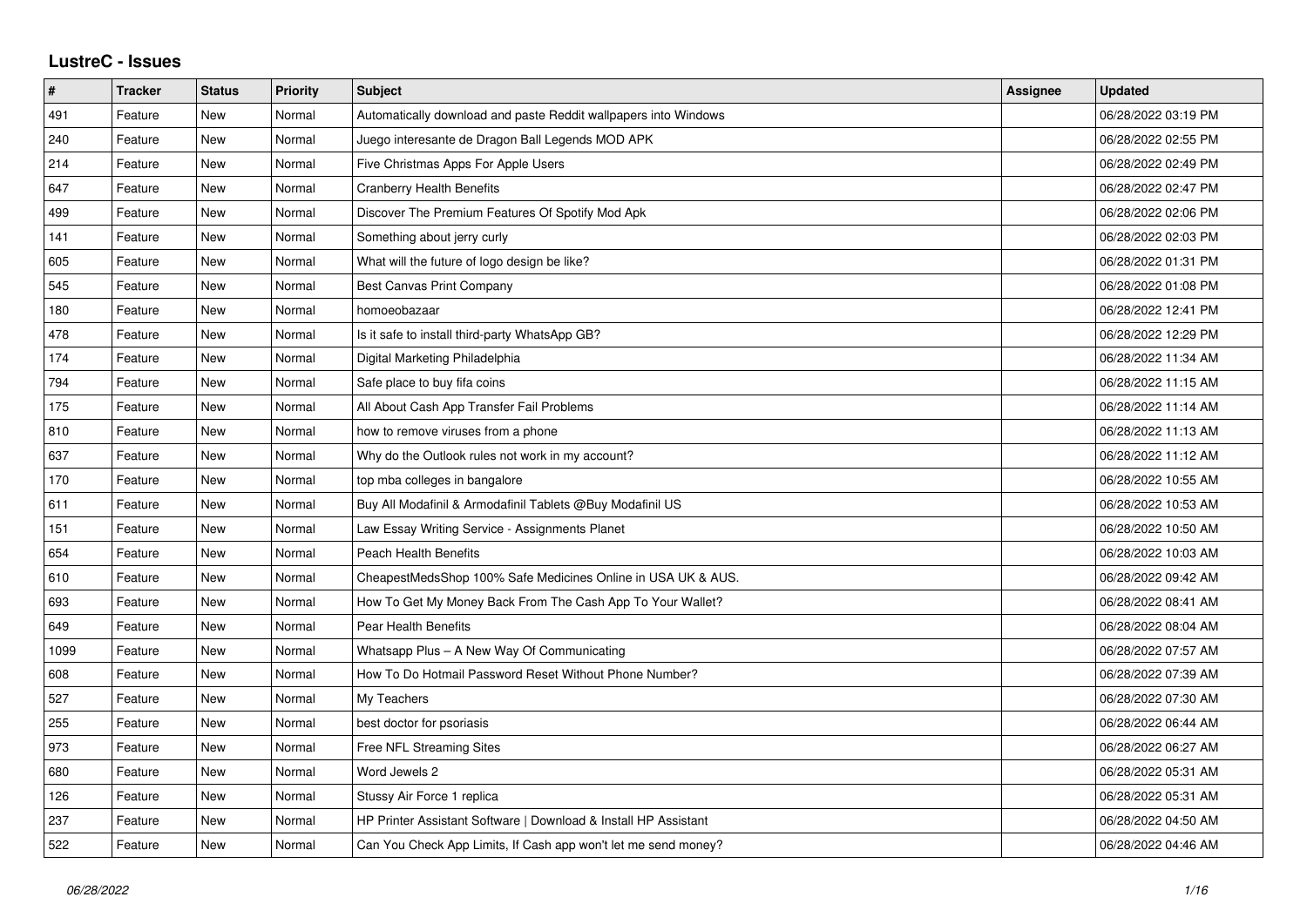## **LustreC - Issues**

| #    | <b>Tracker</b> | <b>Status</b> | <b>Priority</b> | <b>Subject</b>                                                  | <b>Assignee</b> | <b>Updated</b>      |
|------|----------------|---------------|-----------------|-----------------------------------------------------------------|-----------------|---------------------|
| 491  | Feature        | New           | Normal          | Automatically download and paste Reddit wallpapers into Windows |                 | 06/28/2022 03:19 PM |
| 240  | Feature        | <b>New</b>    | Normal          | Juego interesante de Dragon Ball Legends MOD APK                |                 | 06/28/2022 02:55 PM |
| 214  | Feature        | <b>New</b>    | Normal          | Five Christmas Apps For Apple Users                             |                 | 06/28/2022 02:49 PM |
| 647  | Feature        | New           | Normal          | <b>Cranberry Health Benefits</b>                                |                 | 06/28/2022 02:47 PM |
| 499  | Feature        | <b>New</b>    | Normal          | Discover The Premium Features Of Spotify Mod Apk                |                 | 06/28/2022 02:06 PM |
| 141  | Feature        | <b>New</b>    | Normal          | Something about jerry curly                                     |                 | 06/28/2022 02:03 PM |
| 605  | Feature        | New           | Normal          | What will the future of logo design be like?                    |                 | 06/28/2022 01:31 PM |
| 545  | Feature        | <b>New</b>    | Normal          | Best Canvas Print Company                                       |                 | 06/28/2022 01:08 PM |
| 180  | Feature        | New           | Normal          | homoeobazaar                                                    |                 | 06/28/2022 12:41 PM |
| 478  | Feature        | <b>New</b>    | Normal          | Is it safe to install third-party WhatsApp GB?                  |                 | 06/28/2022 12:29 PM |
| 174  | Feature        | <b>New</b>    | Normal          | Digital Marketing Philadelphia                                  |                 | 06/28/2022 11:34 AM |
| 794  | Feature        | New           | Normal          | Safe place to buy fifa coins                                    |                 | 06/28/2022 11:15 AM |
| 175  | Feature        | New           | Normal          | All About Cash App Transfer Fail Problems                       |                 | 06/28/2022 11:14 AM |
| 810  | Feature        | <b>New</b>    | Normal          | how to remove viruses from a phone                              |                 | 06/28/2022 11:13 AM |
| 637  | Feature        | <b>New</b>    | Normal          | Why do the Outlook rules not work in my account?                |                 | 06/28/2022 11:12 AM |
| 170  | Feature        | <b>New</b>    | Normal          | top mba colleges in bangalore                                   |                 | 06/28/2022 10:55 AM |
| 611  | Feature        | <b>New</b>    | Normal          | Buy All Modafinil & Armodafinil Tablets @Buy Modafinil US       |                 | 06/28/2022 10:53 AM |
| 151  | Feature        | New           | Normal          | Law Essay Writing Service - Assignments Planet                  |                 | 06/28/2022 10:50 AM |
| 654  | Feature        | <b>New</b>    | Normal          | <b>Peach Health Benefits</b>                                    |                 | 06/28/2022 10:03 AM |
| 610  | Feature        | <b>New</b>    | Normal          | CheapestMedsShop 100% Safe Medicines Online in USA UK & AUS.    |                 | 06/28/2022 09:42 AM |
| 693  | Feature        | New           | Normal          | How To Get My Money Back From The Cash App To Your Wallet?      |                 | 06/28/2022 08:41 AM |
| 649  | Feature        | <b>New</b>    | Normal          | Pear Health Benefits                                            |                 | 06/28/2022 08:04 AM |
| 1099 | Feature        | <b>New</b>    | Normal          | Whatsapp Plus - A New Way Of Communicating                      |                 | 06/28/2022 07:57 AM |
| 608  | Feature        | New           | Normal          | How To Do Hotmail Password Reset Without Phone Number?          |                 | 06/28/2022 07:39 AM |
| 527  | Feature        | <b>New</b>    | Normal          | My Teachers                                                     |                 | 06/28/2022 07:30 AM |
| 255  | Feature        | <b>New</b>    | Normal          | best doctor for psoriasis                                       |                 | 06/28/2022 06:44 AM |
| 973  | Feature        | New           | Normal          | Free NFL Streaming Sites                                        |                 | 06/28/2022 06:27 AM |
| 680  | Feature        | <b>New</b>    | Normal          | Word Jewels 2                                                   |                 | 06/28/2022 05:31 AM |
| 126  | Feature        | New           | Normal          | Stussy Air Force 1 replica                                      |                 | 06/28/2022 05:31 AM |
| 237  | Feature        | New           | Normal          | HP Printer Assistant Software   Download & Install HP Assistant |                 | 06/28/2022 04:50 AM |
| 522  | Feature        | <b>New</b>    | Normal          | Can You Check App Limits, If Cash app won't let me send money?  |                 | 06/28/2022 04:46 AM |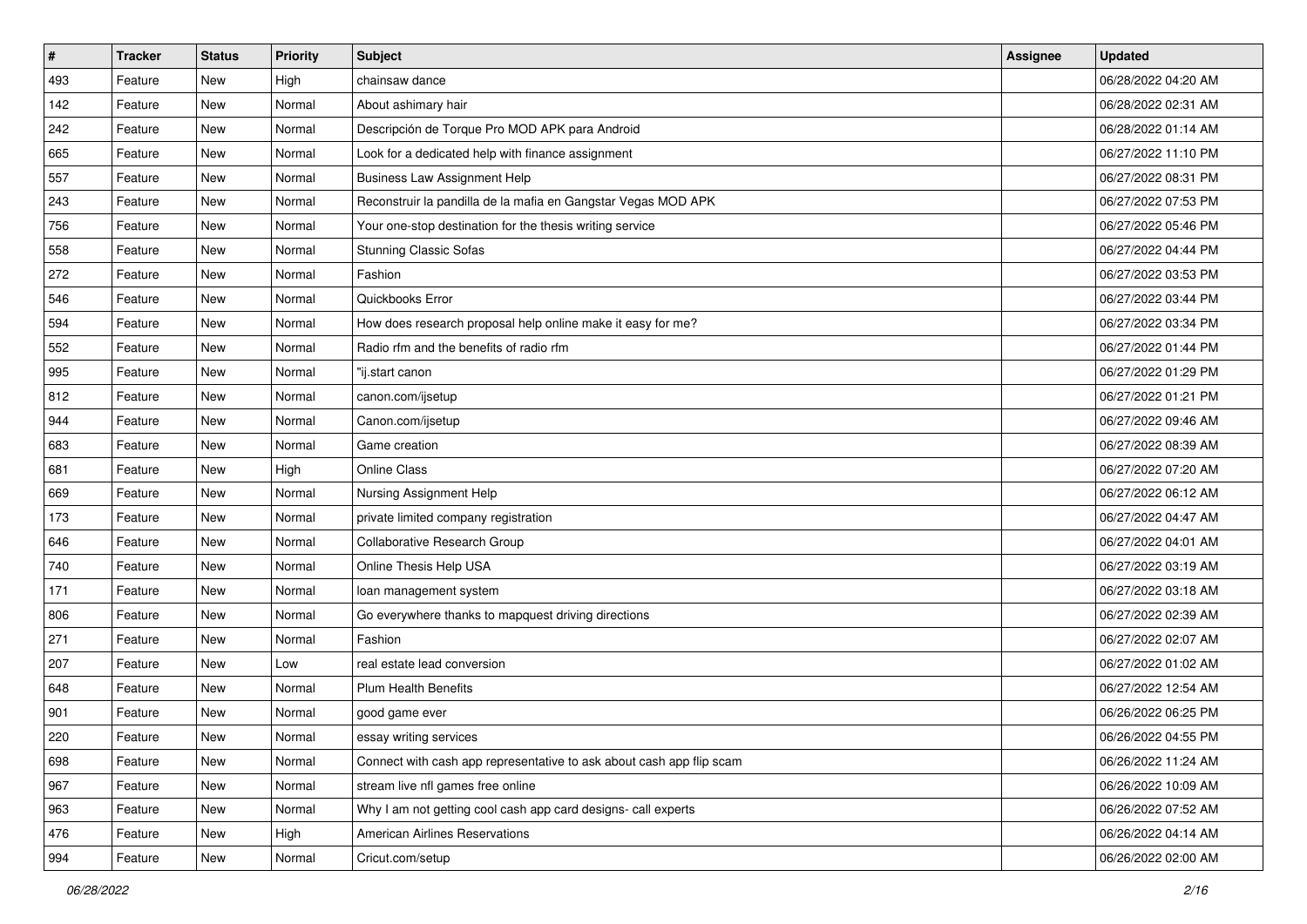| $\pmb{\#}$ | <b>Tracker</b> | <b>Status</b> | <b>Priority</b> | <b>Subject</b>                                                       | <b>Assignee</b> | <b>Updated</b>      |
|------------|----------------|---------------|-----------------|----------------------------------------------------------------------|-----------------|---------------------|
| 493        | Feature        | New           | High            | chainsaw dance                                                       |                 | 06/28/2022 04:20 AM |
| 142        | Feature        | <b>New</b>    | Normal          | About ashimary hair                                                  |                 | 06/28/2022 02:31 AM |
| 242        | Feature        | New           | Normal          | Descripción de Torque Pro MOD APK para Android                       |                 | 06/28/2022 01:14 AM |
| 665        | Feature        | New           | Normal          | Look for a dedicated help with finance assignment                    |                 | 06/27/2022 11:10 PM |
| 557        | Feature        | New           | Normal          | <b>Business Law Assignment Help</b>                                  |                 | 06/27/2022 08:31 PM |
| 243        | Feature        | New           | Normal          | Reconstruir la pandilla de la mafia en Gangstar Vegas MOD APK        |                 | 06/27/2022 07:53 PM |
| 756        | Feature        | <b>New</b>    | Normal          | Your one-stop destination for the thesis writing service             |                 | 06/27/2022 05:46 PM |
| 558        | Feature        | New           | Normal          | <b>Stunning Classic Sofas</b>                                        |                 | 06/27/2022 04:44 PM |
| 272        | Feature        | New           | Normal          | Fashion                                                              |                 | 06/27/2022 03:53 PM |
| 546        | Feature        | <b>New</b>    | Normal          | Quickbooks Error                                                     |                 | 06/27/2022 03:44 PM |
| 594        | Feature        | New           | Normal          | How does research proposal help online make it easy for me?          |                 | 06/27/2022 03:34 PM |
| 552        | Feature        | <b>New</b>    | Normal          | Radio rfm and the benefits of radio rfm                              |                 | 06/27/2022 01:44 PM |
| 995        | Feature        | New           | Normal          | "ij.start canon                                                      |                 | 06/27/2022 01:29 PM |
| 812        | Feature        | New           | Normal          | canon.com/ijsetup                                                    |                 | 06/27/2022 01:21 PM |
| 944        | Feature        | <b>New</b>    | Normal          | Canon.com/ijsetup                                                    |                 | 06/27/2022 09:46 AM |
| 683        | Feature        | New           | Normal          | Game creation                                                        |                 | 06/27/2022 08:39 AM |
| 681        | Feature        | New           | High            | <b>Online Class</b>                                                  |                 | 06/27/2022 07:20 AM |
| 669        | Feature        | New           | Normal          | Nursing Assignment Help                                              |                 | 06/27/2022 06:12 AM |
| 173        | Feature        | New           | Normal          | private limited company registration                                 |                 | 06/27/2022 04:47 AM |
| 646        | Feature        | <b>New</b>    | Normal          | Collaborative Research Group                                         |                 | 06/27/2022 04:01 AM |
| 740        | Feature        | New           | Normal          | Online Thesis Help USA                                               |                 | 06/27/2022 03:19 AM |
| 171        | Feature        | New           | Normal          | loan management system                                               |                 | 06/27/2022 03:18 AM |
| 806        | Feature        | New           | Normal          | Go everywhere thanks to mapquest driving directions                  |                 | 06/27/2022 02:39 AM |
| 271        | Feature        | New           | Normal          | Fashion                                                              |                 | 06/27/2022 02:07 AM |
| 207        | Feature        | New           | Low             | real estate lead conversion                                          |                 | 06/27/2022 01:02 AM |
| 648        | Feature        | <b>New</b>    | Normal          | <b>Plum Health Benefits</b>                                          |                 | 06/27/2022 12:54 AM |
| 901        | Feature        | New           | Normal          | good game ever                                                       |                 | 06/26/2022 06:25 PM |
| 220        | Feature        | New           | Normal          | essay writing services                                               |                 | 06/26/2022 04:55 PM |
| 698        | Feature        | New           | Normal          | Connect with cash app representative to ask about cash app flip scam |                 | 06/26/2022 11:24 AM |
| 967        | Feature        | New           | Normal          | stream live nfl games free online                                    |                 | 06/26/2022 10:09 AM |
| 963        | Feature        | New           | Normal          | Why I am not getting cool cash app card designs- call experts        |                 | 06/26/2022 07:52 AM |
| 476        | Feature        | New           | High            | <b>American Airlines Reservations</b>                                |                 | 06/26/2022 04:14 AM |
| 994        | Feature        | New           | Normal          | Cricut.com/setup                                                     |                 | 06/26/2022 02:00 AM |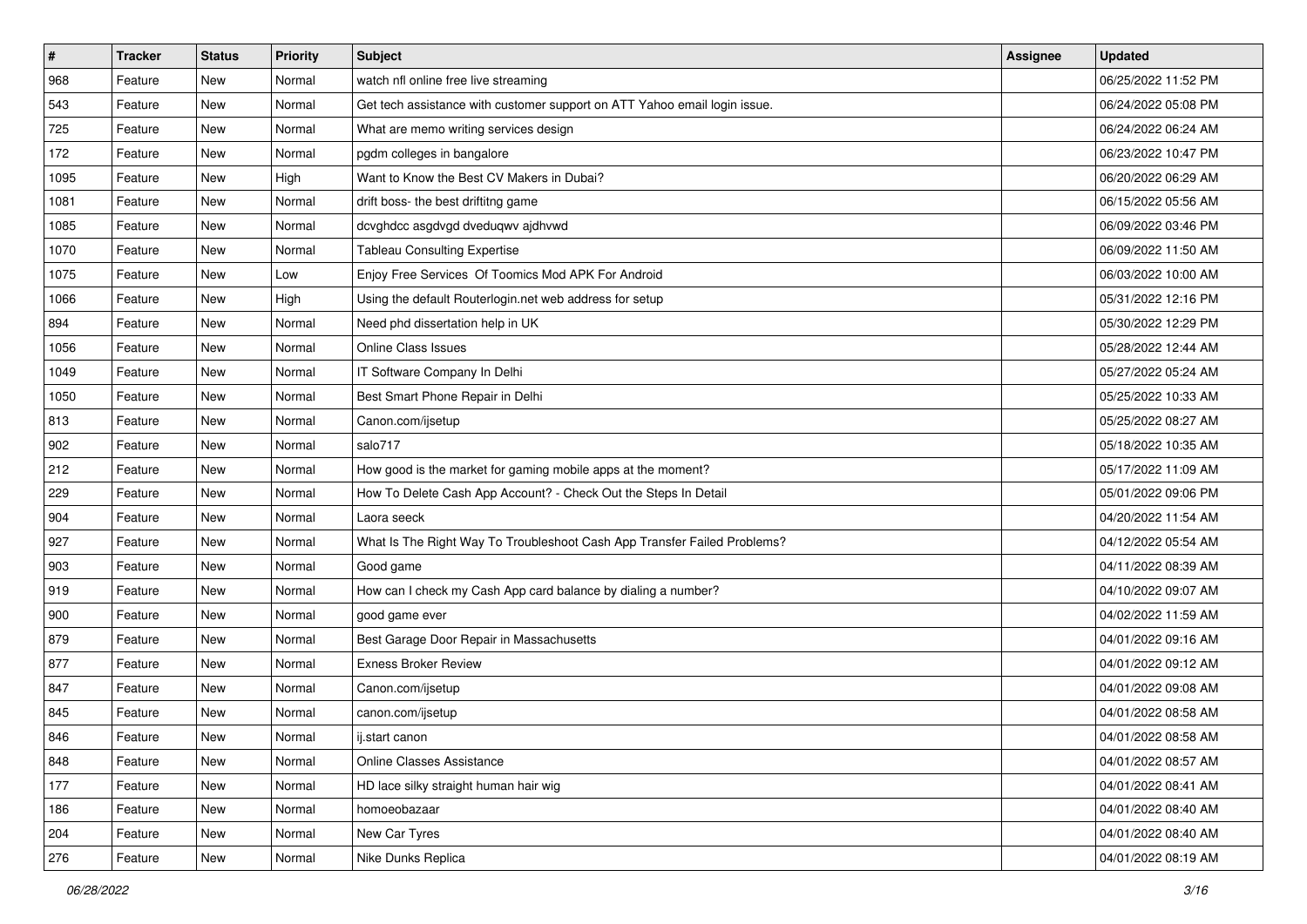| $\pmb{\#}$ | <b>Tracker</b> | <b>Status</b> | <b>Priority</b> | <b>Subject</b>                                                            | <b>Assignee</b> | <b>Updated</b>      |
|------------|----------------|---------------|-----------------|---------------------------------------------------------------------------|-----------------|---------------------|
| 968        | Feature        | New           | Normal          | watch nfl online free live streaming                                      |                 | 06/25/2022 11:52 PM |
| 543        | Feature        | <b>New</b>    | Normal          | Get tech assistance with customer support on ATT Yahoo email login issue. |                 | 06/24/2022 05:08 PM |
| 725        | Feature        | New           | Normal          | What are memo writing services design                                     |                 | 06/24/2022 06:24 AM |
| 172        | Feature        | <b>New</b>    | Normal          | pgdm colleges in bangalore                                                |                 | 06/23/2022 10:47 PM |
| 1095       | Feature        | New           | High            | Want to Know the Best CV Makers in Dubai?                                 |                 | 06/20/2022 06:29 AM |
| 1081       | Feature        | New           | Normal          | drift boss- the best driftitng game                                       |                 | 06/15/2022 05:56 AM |
| 1085       | Feature        | New           | Normal          | dcvghdcc asgdvgd dveduqwv ajdhvwd                                         |                 | 06/09/2022 03:46 PM |
| 1070       | Feature        | New           | Normal          | <b>Tableau Consulting Expertise</b>                                       |                 | 06/09/2022 11:50 AM |
| 1075       | Feature        | New           | Low             | Enjoy Free Services Of Toomics Mod APK For Android                        |                 | 06/03/2022 10:00 AM |
| 1066       | Feature        | <b>New</b>    | High            | Using the default Routerlogin.net web address for setup                   |                 | 05/31/2022 12:16 PM |
| 894        | Feature        | New           | Normal          | Need phd dissertation help in UK                                          |                 | 05/30/2022 12:29 PM |
| 1056       | Feature        | New           | Normal          | <b>Online Class Issues</b>                                                |                 | 05/28/2022 12:44 AM |
| 1049       | Feature        | New           | Normal          | IT Software Company In Delhi                                              |                 | 05/27/2022 05:24 AM |
| 1050       | Feature        | New           | Normal          | Best Smart Phone Repair in Delhi                                          |                 | 05/25/2022 10:33 AM |
| 813        | Feature        | <b>New</b>    | Normal          | Canon.com/ijsetup                                                         |                 | 05/25/2022 08:27 AM |
| 902        | Feature        | New           | Normal          | salo717                                                                   |                 | 05/18/2022 10:35 AM |
| 212        | Feature        | New           | Normal          | How good is the market for gaming mobile apps at the moment?              |                 | 05/17/2022 11:09 AM |
| 229        | Feature        | New           | Normal          | How To Delete Cash App Account? - Check Out the Steps In Detail           |                 | 05/01/2022 09:06 PM |
| 904        | Feature        | New           | Normal          | Laora seeck                                                               |                 | 04/20/2022 11:54 AM |
| 927        | Feature        | <b>New</b>    | Normal          | What Is The Right Way To Troubleshoot Cash App Transfer Failed Problems?  |                 | 04/12/2022 05:54 AM |
| 903        | Feature        | New           | Normal          | Good game                                                                 |                 | 04/11/2022 08:39 AM |
| 919        | Feature        | New           | Normal          | How can I check my Cash App card balance by dialing a number?             |                 | 04/10/2022 09:07 AM |
| 900        | Feature        | New           | Normal          | good game ever                                                            |                 | 04/02/2022 11:59 AM |
| 879        | Feature        | New           | Normal          | Best Garage Door Repair in Massachusetts                                  |                 | 04/01/2022 09:16 AM |
| 877        | Feature        | New           | Normal          | <b>Exness Broker Review</b>                                               |                 | 04/01/2022 09:12 AM |
| 847        | Feature        | New           | Normal          | Canon.com/ijsetup                                                         |                 | 04/01/2022 09:08 AM |
| 845        | Feature        | New           | Normal          | canon.com/ijsetup                                                         |                 | 04/01/2022 08:58 AM |
| 846        | Feature        | New           | Normal          | ij.start canon                                                            |                 | 04/01/2022 08:58 AM |
| 848        | Feature        | New           | Normal          | Online Classes Assistance                                                 |                 | 04/01/2022 08:57 AM |
| 177        | Feature        | New           | Normal          | HD lace silky straight human hair wig                                     |                 | 04/01/2022 08:41 AM |
| 186        | Feature        | New           | Normal          | homoeobazaar                                                              |                 | 04/01/2022 08:40 AM |
| 204        | Feature        | New           | Normal          | New Car Tyres                                                             |                 | 04/01/2022 08:40 AM |
| 276        | Feature        | New           | Normal          | Nike Dunks Replica                                                        |                 | 04/01/2022 08:19 AM |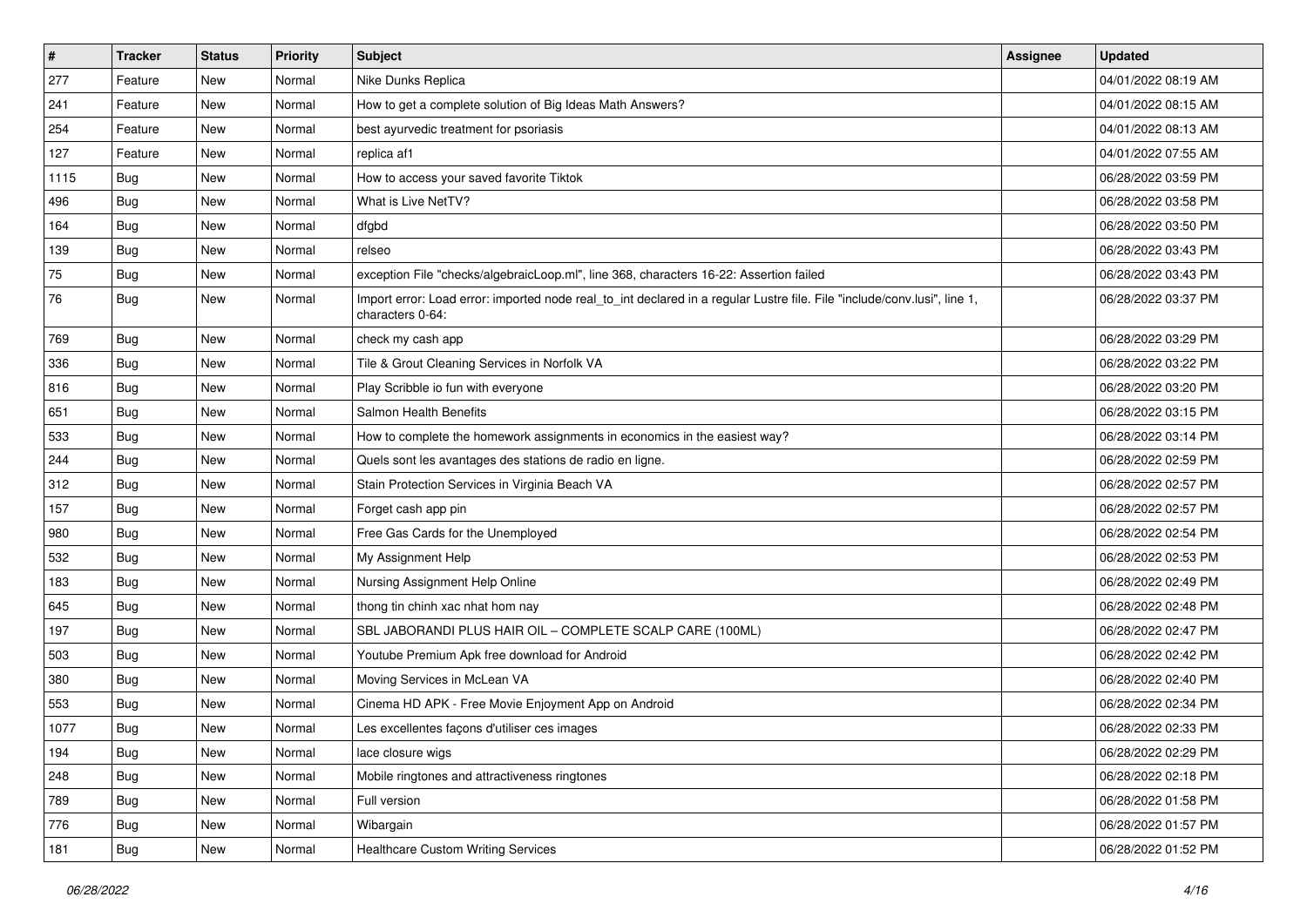| $\vert$ # | <b>Tracker</b> | <b>Status</b> | <b>Priority</b> | Subject                                                                                                                                      | Assignee | <b>Updated</b>      |
|-----------|----------------|---------------|-----------------|----------------------------------------------------------------------------------------------------------------------------------------------|----------|---------------------|
| 277       | Feature        | New           | Normal          | Nike Dunks Replica                                                                                                                           |          | 04/01/2022 08:19 AM |
| 241       | Feature        | New           | Normal          | How to get a complete solution of Big Ideas Math Answers?                                                                                    |          | 04/01/2022 08:15 AM |
| 254       | Feature        | New           | Normal          | best ayurvedic treatment for psoriasis                                                                                                       |          | 04/01/2022 08:13 AM |
| 127       | Feature        | <b>New</b>    | Normal          | replica af1                                                                                                                                  |          | 04/01/2022 07:55 AM |
| 1115      | Bug            | New           | Normal          | How to access your saved favorite Tiktok                                                                                                     |          | 06/28/2022 03:59 PM |
| 496       | <b>Bug</b>     | New           | Normal          | What is Live NetTV?                                                                                                                          |          | 06/28/2022 03:58 PM |
| 164       | Bug            | New           | Normal          | dfgbd                                                                                                                                        |          | 06/28/2022 03:50 PM |
| 139       | <b>Bug</b>     | New           | Normal          | relseo                                                                                                                                       |          | 06/28/2022 03:43 PM |
| 75        | <b>Bug</b>     | New           | Normal          | exception File "checks/algebraicLoop.ml", line 368, characters 16-22: Assertion failed                                                       |          | 06/28/2022 03:43 PM |
| 76        | Bug            | New           | Normal          | Import error: Load error: imported node real_to_int declared in a regular Lustre file. File "include/conv.lusi", line 1,<br>characters 0-64: |          | 06/28/2022 03:37 PM |
| 769       | Bug            | New           | Normal          | check my cash app                                                                                                                            |          | 06/28/2022 03:29 PM |
| 336       | Bug            | New           | Normal          | Tile & Grout Cleaning Services in Norfolk VA                                                                                                 |          | 06/28/2022 03:22 PM |
| 816       | Bug            | New           | Normal          | Play Scribble io fun with everyone                                                                                                           |          | 06/28/2022 03:20 PM |
| 651       | Bug            | New           | Normal          | Salmon Health Benefits                                                                                                                       |          | 06/28/2022 03:15 PM |
| 533       | Bug            | New           | Normal          | How to complete the homework assignments in economics in the easiest way?                                                                    |          | 06/28/2022 03:14 PM |
| 244       | <b>Bug</b>     | <b>New</b>    | Normal          | Quels sont les avantages des stations de radio en ligne.                                                                                     |          | 06/28/2022 02:59 PM |
| 312       | Bug            | New           | Normal          | Stain Protection Services in Virginia Beach VA                                                                                               |          | 06/28/2022 02:57 PM |
| 157       | <b>Bug</b>     | New           | Normal          | Forget cash app pin                                                                                                                          |          | 06/28/2022 02:57 PM |
| 980       | Bug            | New           | Normal          | Free Gas Cards for the Unemployed                                                                                                            |          | 06/28/2022 02:54 PM |
| 532       | Bug            | <b>New</b>    | Normal          | My Assignment Help                                                                                                                           |          | 06/28/2022 02:53 PM |
| 183       | <b>Bug</b>     | New           | Normal          | Nursing Assignment Help Online                                                                                                               |          | 06/28/2022 02:49 PM |
| 645       | Bug            | New           | Normal          | thong tin chinh xac nhat hom nay                                                                                                             |          | 06/28/2022 02:48 PM |
| 197       | <b>Bug</b>     | New           | Normal          | SBL JABORANDI PLUS HAIR OIL - COMPLETE SCALP CARE (100ML)                                                                                    |          | 06/28/2022 02:47 PM |
| 503       | Bug            | New           | Normal          | Youtube Premium Apk free download for Android                                                                                                |          | 06/28/2022 02:42 PM |
| 380       | Bug            | New           | Normal          | Moving Services in McLean VA                                                                                                                 |          | 06/28/2022 02:40 PM |
| 553       | Bug            | New           | Normal          | Cinema HD APK - Free Movie Enjoyment App on Android                                                                                          |          | 06/28/2022 02:34 PM |
| 1077      | <b>Bug</b>     | <b>New</b>    | Normal          | Les excellentes façons d'utiliser ces images                                                                                                 |          | 06/28/2022 02:33 PM |
| 194       | Bug            | New           | Normal          | lace closure wigs                                                                                                                            |          | 06/28/2022 02:29 PM |
| 248       | <b>Bug</b>     | New           | Normal          | Mobile ringtones and attractiveness ringtones                                                                                                |          | 06/28/2022 02:18 PM |
| 789       | Bug            | New           | Normal          | Full version                                                                                                                                 |          | 06/28/2022 01:58 PM |
| 776       | Bug            | New           | Normal          | Wibargain                                                                                                                                    |          | 06/28/2022 01:57 PM |
| 181       | <b>Bug</b>     | New           | Normal          | <b>Healthcare Custom Writing Services</b>                                                                                                    |          | 06/28/2022 01:52 PM |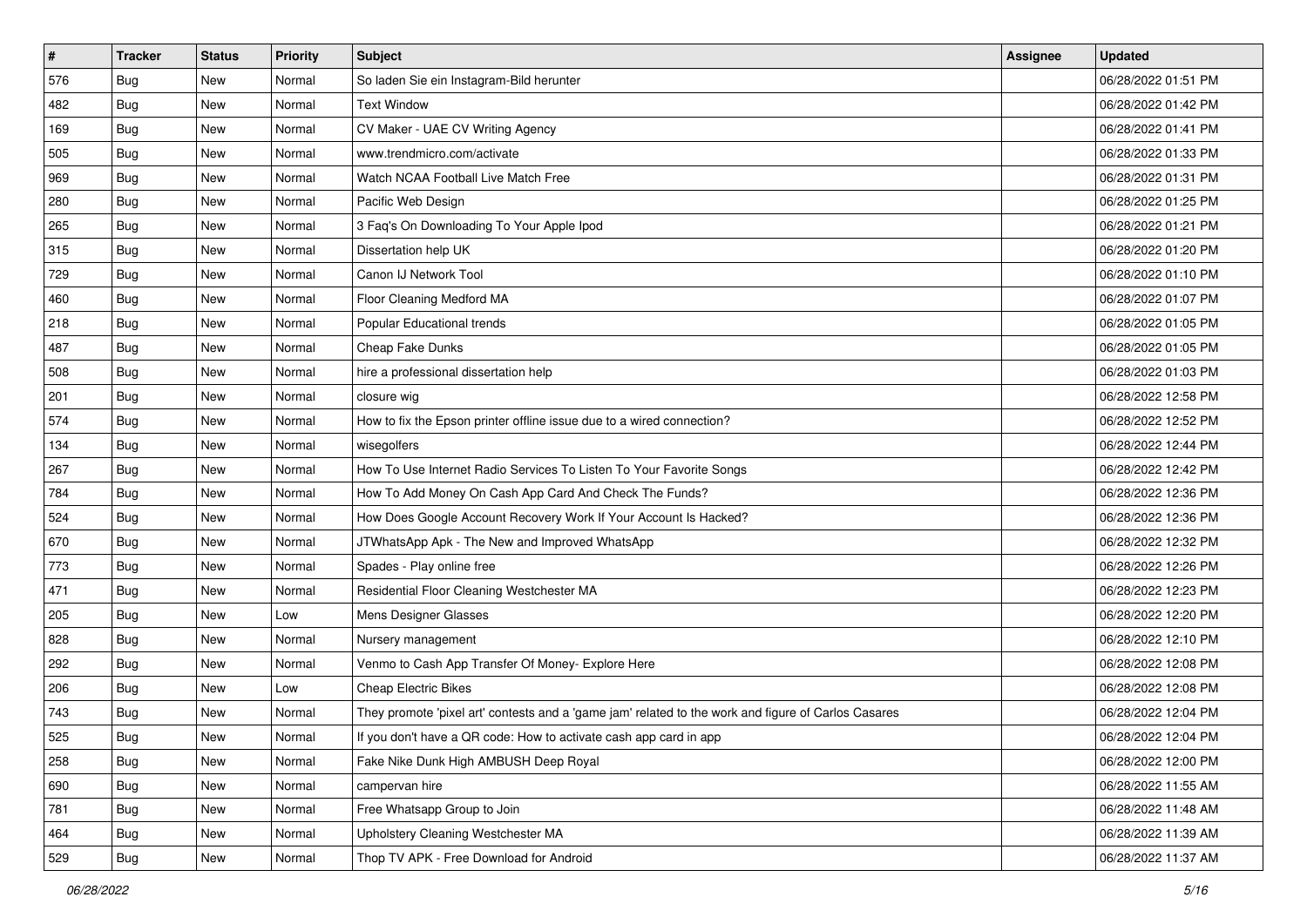| $\sharp$ | <b>Tracker</b> | <b>Status</b> | <b>Priority</b> | Subject                                                                                             | <b>Assignee</b> | <b>Updated</b>      |
|----------|----------------|---------------|-----------------|-----------------------------------------------------------------------------------------------------|-----------------|---------------------|
| 576      | Bug            | New           | Normal          | So laden Sie ein Instagram-Bild herunter                                                            |                 | 06/28/2022 01:51 PM |
| 482      | <b>Bug</b>     | New           | Normal          | <b>Text Window</b>                                                                                  |                 | 06/28/2022 01:42 PM |
| 169      | Bug            | New           | Normal          | CV Maker - UAE CV Writing Agency                                                                    |                 | 06/28/2022 01:41 PM |
| 505      | Bug            | <b>New</b>    | Normal          | www.trendmicro.com/activate                                                                         |                 | 06/28/2022 01:33 PM |
| 969      | Bug            | New           | Normal          | Watch NCAA Football Live Match Free                                                                 |                 | 06/28/2022 01:31 PM |
| 280      | <b>Bug</b>     | New           | Normal          | Pacific Web Design                                                                                  |                 | 06/28/2022 01:25 PM |
| 265      | Bug            | New           | Normal          | 3 Faq's On Downloading To Your Apple Ipod                                                           |                 | 06/28/2022 01:21 PM |
| 315      | <b>Bug</b>     | New           | Normal          | Dissertation help UK                                                                                |                 | 06/28/2022 01:20 PM |
| 729      | Bug            | New           | Normal          | Canon IJ Network Tool                                                                               |                 | 06/28/2022 01:10 PM |
| 460      | Bug            | New           | Normal          | Floor Cleaning Medford MA                                                                           |                 | 06/28/2022 01:07 PM |
| 218      | Bug            | New           | Normal          | Popular Educational trends                                                                          |                 | 06/28/2022 01:05 PM |
| 487      | Bug            | New           | Normal          | Cheap Fake Dunks                                                                                    |                 | 06/28/2022 01:05 PM |
| 508      | Bug            | New           | Normal          | hire a professional dissertation help                                                               |                 | 06/28/2022 01:03 PM |
| 201      | Bug            | New           | Normal          | closure wig                                                                                         |                 | 06/28/2022 12:58 PM |
| 574      | <b>Bug</b>     | <b>New</b>    | Normal          | How to fix the Epson printer offline issue due to a wired connection?                               |                 | 06/28/2022 12:52 PM |
| 134      | Bug            | New           | Normal          | wisegolfers                                                                                         |                 | 06/28/2022 12:44 PM |
| 267      | Bug            | New           | Normal          | How To Use Internet Radio Services To Listen To Your Favorite Songs                                 |                 | 06/28/2022 12:42 PM |
| 784      | Bug            | <b>New</b>    | Normal          | How To Add Money On Cash App Card And Check The Funds?                                              |                 | 06/28/2022 12:36 PM |
| 524      | Bug            | New           | Normal          | How Does Google Account Recovery Work If Your Account Is Hacked?                                    |                 | 06/28/2022 12:36 PM |
| 670      | Bug            | New           | Normal          | JTWhatsApp Apk - The New and Improved WhatsApp                                                      |                 | 06/28/2022 12:32 PM |
| 773      | <b>Bug</b>     | New           | Normal          | Spades - Play online free                                                                           |                 | 06/28/2022 12:26 PM |
| 471      | Bug            | New           | Normal          | Residential Floor Cleaning Westchester MA                                                           |                 | 06/28/2022 12:23 PM |
| 205      | Bug            | New           | Low             | Mens Designer Glasses                                                                               |                 | 06/28/2022 12:20 PM |
| 828      | <b>Bug</b>     | New           | Normal          | Nursery management                                                                                  |                 | 06/28/2022 12:10 PM |
| 292      | Bug            | New           | Normal          | Venmo to Cash App Transfer Of Money- Explore Here                                                   |                 | 06/28/2022 12:08 PM |
| 206      | Bug            | New           | Low             | <b>Cheap Electric Bikes</b>                                                                         |                 | 06/28/2022 12:08 PM |
| 743      | <b>Bug</b>     | New           | Normal          | They promote 'pixel art' contests and a 'game jam' related to the work and figure of Carlos Casares |                 | 06/28/2022 12:04 PM |
| 525      | i Bug          | New           | Normal          | If you don't have a QR code: How to activate cash app card in app                                   |                 | 06/28/2022 12:04 PM |
| 258      | <b>Bug</b>     | New           | Normal          | Fake Nike Dunk High AMBUSH Deep Royal                                                               |                 | 06/28/2022 12:00 PM |
| 690      | <b>Bug</b>     | New           | Normal          | campervan hire                                                                                      |                 | 06/28/2022 11:55 AM |
| 781      | <b>Bug</b>     | New           | Normal          | Free Whatsapp Group to Join                                                                         |                 | 06/28/2022 11:48 AM |
| 464      | Bug            | New           | Normal          | Upholstery Cleaning Westchester MA                                                                  |                 | 06/28/2022 11:39 AM |
| 529      | <b>Bug</b>     | New           | Normal          | Thop TV APK - Free Download for Android                                                             |                 | 06/28/2022 11:37 AM |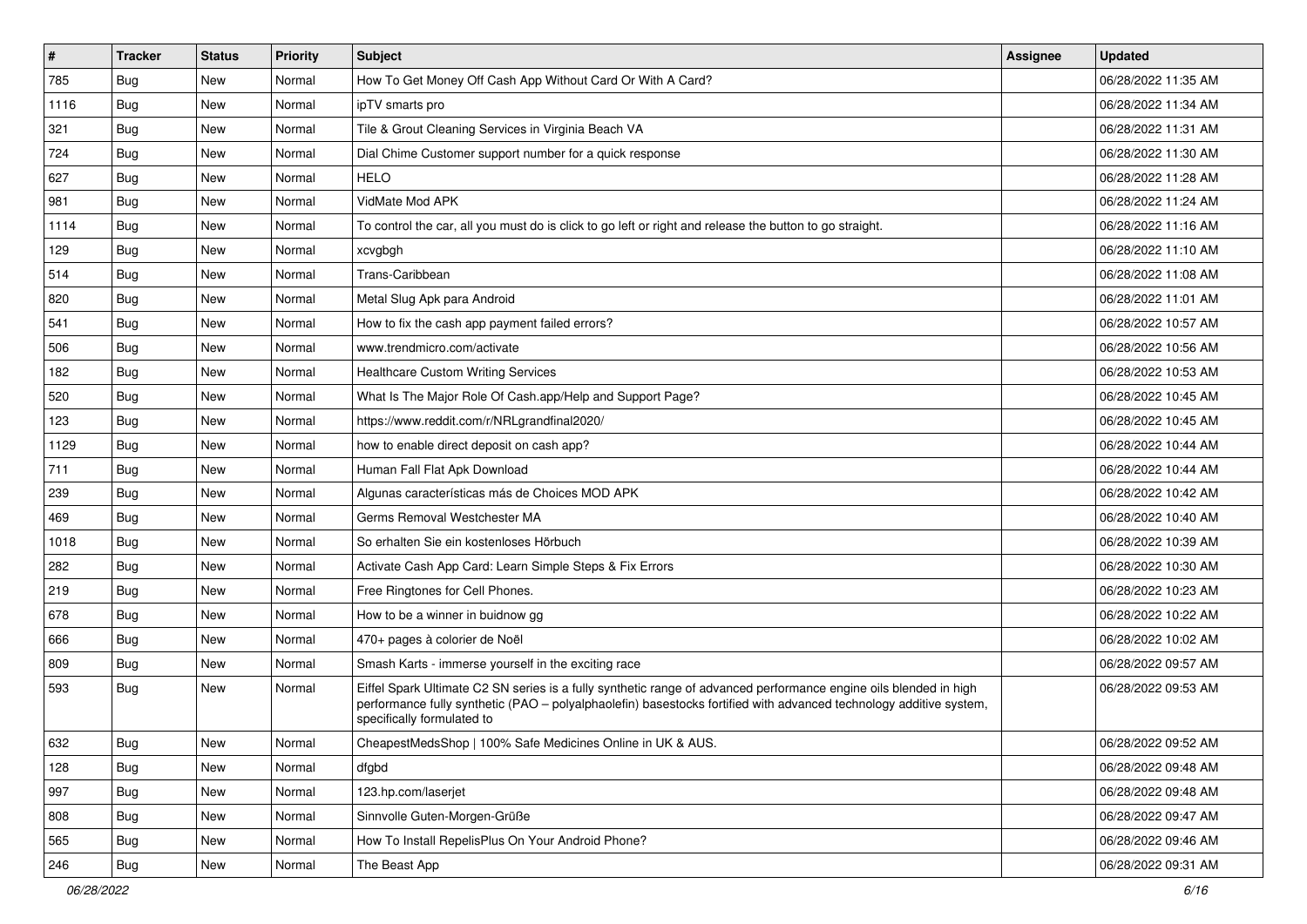| #    | <b>Tracker</b> | <b>Status</b> | <b>Priority</b> | <b>Subject</b>                                                                                                                                                                                                                                                        | <b>Assignee</b> | <b>Updated</b>      |
|------|----------------|---------------|-----------------|-----------------------------------------------------------------------------------------------------------------------------------------------------------------------------------------------------------------------------------------------------------------------|-----------------|---------------------|
| 785  | <b>Bug</b>     | New           | Normal          | How To Get Money Off Cash App Without Card Or With A Card?                                                                                                                                                                                                            |                 | 06/28/2022 11:35 AM |
| 1116 | <b>Bug</b>     | New           | Normal          | ipTV smarts pro                                                                                                                                                                                                                                                       |                 | 06/28/2022 11:34 AM |
| 321  | Bug            | <b>New</b>    | Normal          | Tile & Grout Cleaning Services in Virginia Beach VA                                                                                                                                                                                                                   |                 | 06/28/2022 11:31 AM |
| 724  | Bug            | New           | Normal          | Dial Chime Customer support number for a quick response                                                                                                                                                                                                               |                 | 06/28/2022 11:30 AM |
| 627  | <b>Bug</b>     | <b>New</b>    | Normal          | <b>HELO</b>                                                                                                                                                                                                                                                           |                 | 06/28/2022 11:28 AM |
| 981  | Bug            | New           | Normal          | VidMate Mod APK                                                                                                                                                                                                                                                       |                 | 06/28/2022 11:24 AM |
| 1114 | <b>Bug</b>     | New           | Normal          | To control the car, all you must do is click to go left or right and release the button to go straight.                                                                                                                                                               |                 | 06/28/2022 11:16 AM |
| 129  | Bug            | New           | Normal          | xcvgbgh                                                                                                                                                                                                                                                               |                 | 06/28/2022 11:10 AM |
| 514  | Bug            | New           | Normal          | Trans-Caribbean                                                                                                                                                                                                                                                       |                 | 06/28/2022 11:08 AM |
| 820  | <b>Bug</b>     | New           | Normal          | Metal Slug Apk para Android                                                                                                                                                                                                                                           |                 | 06/28/2022 11:01 AM |
| 541  | <b>Bug</b>     | New           | Normal          | How to fix the cash app payment failed errors?                                                                                                                                                                                                                        |                 | 06/28/2022 10:57 AM |
| 506  | <b>Bug</b>     | New           | Normal          | www.trendmicro.com/activate                                                                                                                                                                                                                                           |                 | 06/28/2022 10:56 AM |
| 182  | Bug            | New           | Normal          | <b>Healthcare Custom Writing Services</b>                                                                                                                                                                                                                             |                 | 06/28/2022 10:53 AM |
| 520  | <b>Bug</b>     | New           | Normal          | What Is The Major Role Of Cash.app/Help and Support Page?                                                                                                                                                                                                             |                 | 06/28/2022 10:45 AM |
| 123  | <b>Bug</b>     | New           | Normal          | https://www.reddit.com/r/NRLgrandfinal2020/                                                                                                                                                                                                                           |                 | 06/28/2022 10:45 AM |
| 1129 | Bug            | New           | Normal          | how to enable direct deposit on cash app?                                                                                                                                                                                                                             |                 | 06/28/2022 10:44 AM |
| 711  | <b>Bug</b>     | New           | Normal          | Human Fall Flat Apk Download                                                                                                                                                                                                                                          |                 | 06/28/2022 10:44 AM |
| 239  | Bug            | New           | Normal          | Algunas características más de Choices MOD APK                                                                                                                                                                                                                        |                 | 06/28/2022 10:42 AM |
| 469  | <b>Bug</b>     | New           | Normal          | Germs Removal Westchester MA                                                                                                                                                                                                                                          |                 | 06/28/2022 10:40 AM |
| 1018 | <b>Bug</b>     | New           | Normal          | So erhalten Sie ein kostenloses Hörbuch                                                                                                                                                                                                                               |                 | 06/28/2022 10:39 AM |
| 282  | Bug            | New           | Normal          | Activate Cash App Card: Learn Simple Steps & Fix Errors                                                                                                                                                                                                               |                 | 06/28/2022 10:30 AM |
| 219  | Bug            | New           | Normal          | Free Ringtones for Cell Phones.                                                                                                                                                                                                                                       |                 | 06/28/2022 10:23 AM |
| 678  | Bug            | New           | Normal          | How to be a winner in buidnow gg                                                                                                                                                                                                                                      |                 | 06/28/2022 10:22 AM |
| 666  | <b>Bug</b>     | New           | Normal          | 470+ pages à colorier de Noël                                                                                                                                                                                                                                         |                 | 06/28/2022 10:02 AM |
| 809  | <b>Bug</b>     | New           | Normal          | Smash Karts - immerse yourself in the exciting race                                                                                                                                                                                                                   |                 | 06/28/2022 09:57 AM |
| 593  | Bug            | New           | Normal          | Eiffel Spark Ultimate C2 SN series is a fully synthetic range of advanced performance engine oils blended in high<br>performance fully synthetic (PAO - polyalphaolefin) basestocks fortified with advanced technology additive system,<br>specifically formulated to |                 | 06/28/2022 09:53 AM |
| 632  | <b>Bug</b>     | New           | Normal          | CheapestMedsShop   100% Safe Medicines Online in UK & AUS.                                                                                                                                                                                                            |                 | 06/28/2022 09:52 AM |
| 128  | Bug            | New           | Normal          | dfgbd                                                                                                                                                                                                                                                                 |                 | 06/28/2022 09:48 AM |
| 997  | <b>Bug</b>     | New           | Normal          | 123.hp.com/laserjet                                                                                                                                                                                                                                                   |                 | 06/28/2022 09:48 AM |
| 808  | Bug            | New           | Normal          | Sinnvolle Guten-Morgen-Grüße                                                                                                                                                                                                                                          |                 | 06/28/2022 09:47 AM |
| 565  | <b>Bug</b>     | New           | Normal          | How To Install RepelisPlus On Your Android Phone?                                                                                                                                                                                                                     |                 | 06/28/2022 09:46 AM |
| 246  | <b>Bug</b>     | New           | Normal          | The Beast App                                                                                                                                                                                                                                                         |                 | 06/28/2022 09:31 AM |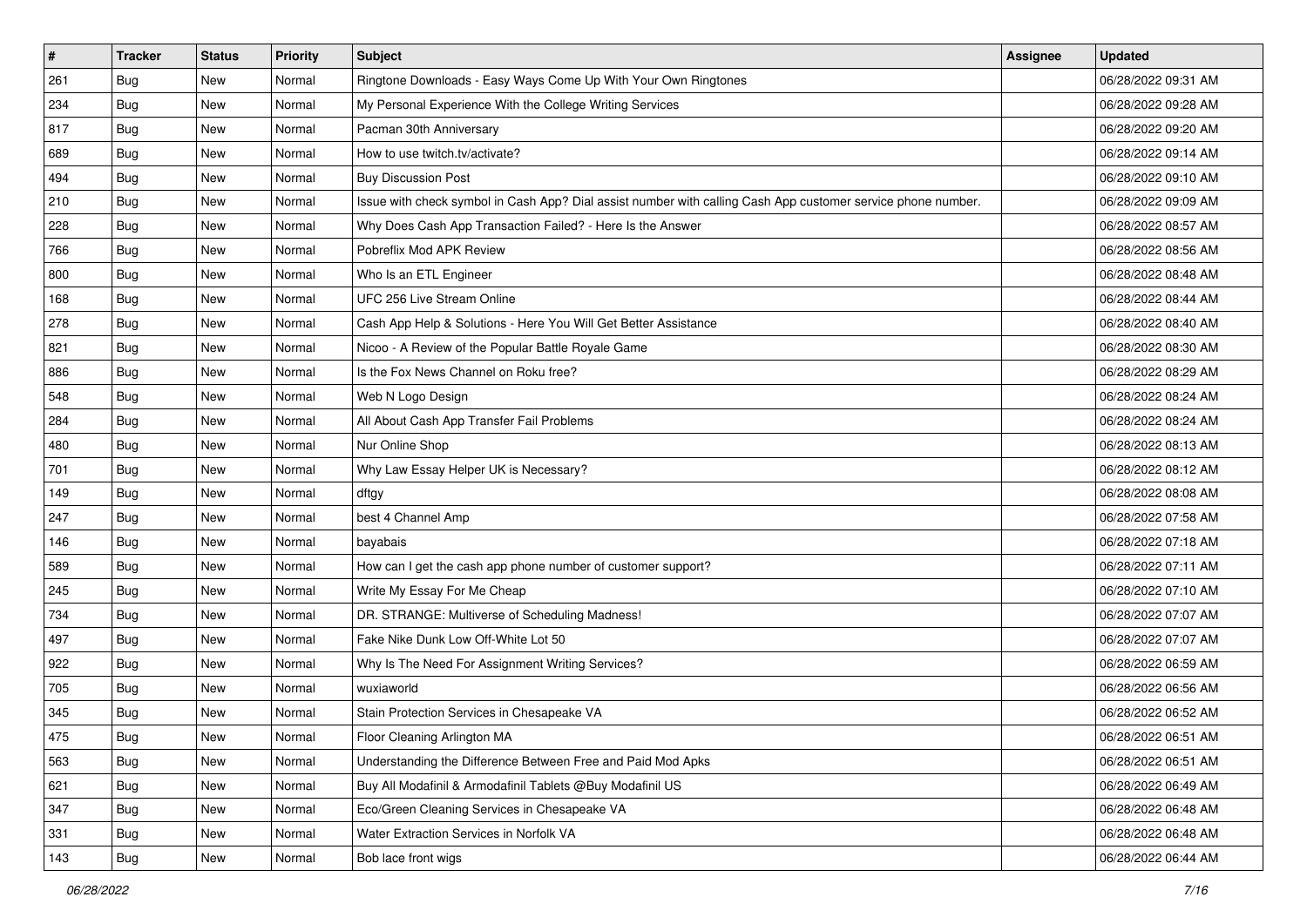| $\vert$ # | <b>Tracker</b> | <b>Status</b> | <b>Priority</b> | <b>Subject</b>                                                                                               | <b>Assignee</b> | <b>Updated</b>      |
|-----------|----------------|---------------|-----------------|--------------------------------------------------------------------------------------------------------------|-----------------|---------------------|
| 261       | <b>Bug</b>     | New           | Normal          | Ringtone Downloads - Easy Ways Come Up With Your Own Ringtones                                               |                 | 06/28/2022 09:31 AM |
| 234       | <b>Bug</b>     | New           | Normal          | My Personal Experience With the College Writing Services                                                     |                 | 06/28/2022 09:28 AM |
| 817       | Bug            | New           | Normal          | Pacman 30th Anniversary                                                                                      |                 | 06/28/2022 09:20 AM |
| 689       | Bug            | New           | Normal          | How to use twitch.tv/activate?                                                                               |                 | 06/28/2022 09:14 AM |
| 494       | <b>Bug</b>     | <b>New</b>    | Normal          | <b>Buy Discussion Post</b>                                                                                   |                 | 06/28/2022 09:10 AM |
| 210       | <b>Bug</b>     | New           | Normal          | Issue with check symbol in Cash App? Dial assist number with calling Cash App customer service phone number. |                 | 06/28/2022 09:09 AM |
| 228       | <b>Bug</b>     | New           | Normal          | Why Does Cash App Transaction Failed? - Here Is the Answer                                                   |                 | 06/28/2022 08:57 AM |
| 766       | Bug            | New           | Normal          | Pobreflix Mod APK Review                                                                                     |                 | 06/28/2022 08:56 AM |
| 800       | <b>Bug</b>     | New           | Normal          | Who Is an ETL Engineer                                                                                       |                 | 06/28/2022 08:48 AM |
| 168       | <b>Bug</b>     | New           | Normal          | UFC 256 Live Stream Online                                                                                   |                 | 06/28/2022 08:44 AM |
| 278       | <b>Bug</b>     | New           | Normal          | Cash App Help & Solutions - Here You Will Get Better Assistance                                              |                 | 06/28/2022 08:40 AM |
| 821       | <b>Bug</b>     | New           | Normal          | Nicoo - A Review of the Popular Battle Royale Game                                                           |                 | 06/28/2022 08:30 AM |
| 886       | Bug            | New           | Normal          | Is the Fox News Channel on Roku free?                                                                        |                 | 06/28/2022 08:29 AM |
| 548       | <b>Bug</b>     | New           | Normal          | Web N Logo Design                                                                                            |                 | 06/28/2022 08:24 AM |
| 284       | Bug            | New           | Normal          | All About Cash App Transfer Fail Problems                                                                    |                 | 06/28/2022 08:24 AM |
| 480       | Bug            | New           | Normal          | Nur Online Shop                                                                                              |                 | 06/28/2022 08:13 AM |
| 701       | <b>Bug</b>     | New           | Normal          | Why Law Essay Helper UK is Necessary?                                                                        |                 | 06/28/2022 08:12 AM |
| 149       | Bug            | New           | Normal          | dftgy                                                                                                        |                 | 06/28/2022 08:08 AM |
| 247       | <b>Bug</b>     | New           | Normal          | best 4 Channel Amp                                                                                           |                 | 06/28/2022 07:58 AM |
| 146       | Bug            | New           | Normal          | bayabais                                                                                                     |                 | 06/28/2022 07:18 AM |
| 589       | <b>Bug</b>     | New           | Normal          | How can I get the cash app phone number of customer support?                                                 |                 | 06/28/2022 07:11 AM |
| 245       | Bug            | New           | Normal          | Write My Essay For Me Cheap                                                                                  |                 | 06/28/2022 07:10 AM |
| 734       | Bug            | New           | Normal          | DR. STRANGE: Multiverse of Scheduling Madness!                                                               |                 | 06/28/2022 07:07 AM |
| 497       | <b>Bug</b>     | New           | Normal          | Fake Nike Dunk Low Off-White Lot 50                                                                          |                 | 06/28/2022 07:07 AM |
| 922       | Bug            | New           | Normal          | Why Is The Need For Assignment Writing Services?                                                             |                 | 06/28/2022 06:59 AM |
| 705       | Bug            | New           | Normal          | wuxiaworld                                                                                                   |                 | 06/28/2022 06:56 AM |
| 345       | <b>Bug</b>     | New           | Normal          | Stain Protection Services in Chesapeake VA                                                                   |                 | 06/28/2022 06:52 AM |
| 475       | Bug            | New           | Normal          | Floor Cleaning Arlington MA                                                                                  |                 | 06/28/2022 06:51 AM |
| 563       | Bug            | New           | Normal          | Understanding the Difference Between Free and Paid Mod Apks                                                  |                 | 06/28/2022 06:51 AM |
| 621       | <b>Bug</b>     | New           | Normal          | Buy All Modafinil & Armodafinil Tablets @Buy Modafinil US                                                    |                 | 06/28/2022 06:49 AM |
| 347       | <b>Bug</b>     | New           | Normal          | Eco/Green Cleaning Services in Chesapeake VA                                                                 |                 | 06/28/2022 06:48 AM |
| 331       | <b>Bug</b>     | New           | Normal          | Water Extraction Services in Norfolk VA                                                                      |                 | 06/28/2022 06:48 AM |
| 143       | <b>Bug</b>     | New           | Normal          | Bob lace front wigs                                                                                          |                 | 06/28/2022 06:44 AM |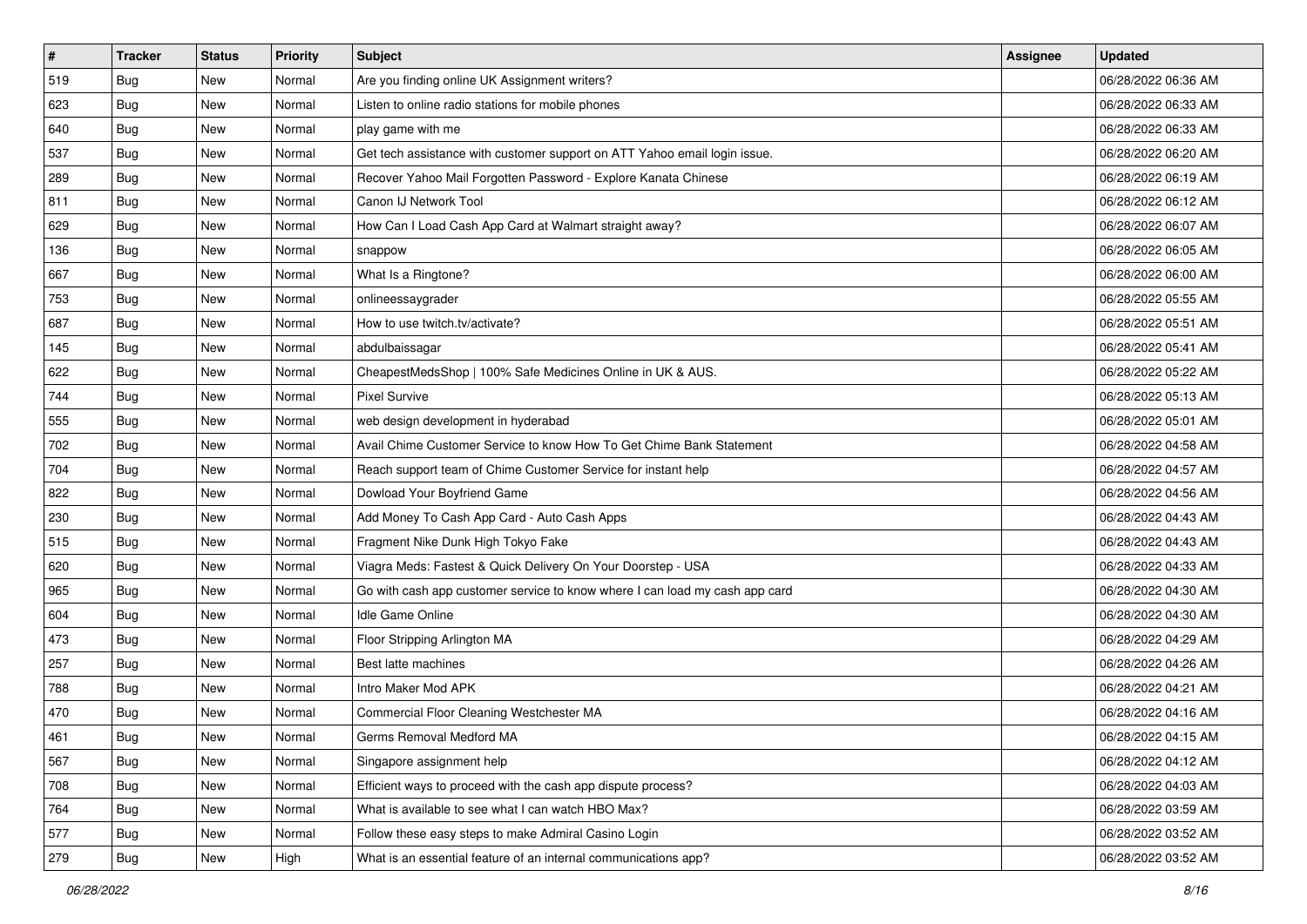| $\sharp$ | <b>Tracker</b> | <b>Status</b> | <b>Priority</b> | Subject                                                                     | <b>Assignee</b> | <b>Updated</b>      |
|----------|----------------|---------------|-----------------|-----------------------------------------------------------------------------|-----------------|---------------------|
| 519      | Bug            | New           | Normal          | Are you finding online UK Assignment writers?                               |                 | 06/28/2022 06:36 AM |
| 623      | <b>Bug</b>     | New           | Normal          | Listen to online radio stations for mobile phones                           |                 | 06/28/2022 06:33 AM |
| 640      | Bug            | New           | Normal          | play game with me                                                           |                 | 06/28/2022 06:33 AM |
| 537      | Bug            | <b>New</b>    | Normal          | Get tech assistance with customer support on ATT Yahoo email login issue.   |                 | 06/28/2022 06:20 AM |
| 289      | Bug            | New           | Normal          | Recover Yahoo Mail Forgotten Password - Explore Kanata Chinese              |                 | 06/28/2022 06:19 AM |
| 811      | <b>Bug</b>     | New           | Normal          | Canon IJ Network Tool                                                       |                 | 06/28/2022 06:12 AM |
| 629      | Bug            | New           | Normal          | How Can I Load Cash App Card at Walmart straight away?                      |                 | 06/28/2022 06:07 AM |
| 136      | <b>Bug</b>     | New           | Normal          | snappow                                                                     |                 | 06/28/2022 06:05 AM |
| 667      | Bug            | New           | Normal          | What Is a Ringtone?                                                         |                 | 06/28/2022 06:00 AM |
| 753      | Bug            | New           | Normal          | onlineessaygrader                                                           |                 | 06/28/2022 05:55 AM |
| 687      | <b>Bug</b>     | New           | Normal          | How to use twitch.tv/activate?                                              |                 | 06/28/2022 05:51 AM |
| 145      | Bug            | New           | Normal          | abdulbaissagar                                                              |                 | 06/28/2022 05:41 AM |
| 622      | Bug            | New           | Normal          | CheapestMedsShop   100% Safe Medicines Online in UK & AUS.                  |                 | 06/28/2022 05:22 AM |
| 744      | <b>Bug</b>     | New           | Normal          | <b>Pixel Survive</b>                                                        |                 | 06/28/2022 05:13 AM |
| 555      | <b>Bug</b>     | New           | Normal          | web design development in hyderabad                                         |                 | 06/28/2022 05:01 AM |
| 702      | Bug            | New           | Normal          | Avail Chime Customer Service to know How To Get Chime Bank Statement        |                 | 06/28/2022 04:58 AM |
| 704      | <b>Bug</b>     | New           | Normal          | Reach support team of Chime Customer Service for instant help               |                 | 06/28/2022 04:57 AM |
| 822      | Bug            | New           | Normal          | Dowload Your Boyfriend Game                                                 |                 | 06/28/2022 04:56 AM |
| 230      | <b>Bug</b>     | New           | Normal          | Add Money To Cash App Card - Auto Cash Apps                                 |                 | 06/28/2022 04:43 AM |
| 515      | Bug            | New           | Normal          | Fragment Nike Dunk High Tokyo Fake                                          |                 | 06/28/2022 04:43 AM |
| 620      | <b>Bug</b>     | New           | Normal          | Viagra Meds: Fastest & Quick Delivery On Your Doorstep - USA                |                 | 06/28/2022 04:33 AM |
| 965      | Bug            | New           | Normal          | Go with cash app customer service to know where I can load my cash app card |                 | 06/28/2022 04:30 AM |
| 604      | Bug            | New           | Normal          | Idle Game Online                                                            |                 | 06/28/2022 04:30 AM |
| 473      | <b>Bug</b>     | New           | Normal          | Floor Stripping Arlington MA                                                |                 | 06/28/2022 04:29 AM |
| 257      | Bug            | New           | Normal          | Best latte machines                                                         |                 | 06/28/2022 04:26 AM |
| 788      | Bug            | New           | Normal          | Intro Maker Mod APK                                                         |                 | 06/28/2022 04:21 AM |
| 470      | <b>Bug</b>     | New           | Normal          | Commercial Floor Cleaning Westchester MA                                    |                 | 06/28/2022 04:16 AM |
| 461      | I Bug          | New           | Normal          | Germs Removal Medford MA                                                    |                 | 06/28/2022 04:15 AM |
| 567      | <b>Bug</b>     | New           | Normal          | Singapore assignment help                                                   |                 | 06/28/2022 04:12 AM |
| 708      | <b>Bug</b>     | New           | Normal          | Efficient ways to proceed with the cash app dispute process?                |                 | 06/28/2022 04:03 AM |
| 764      | <b>Bug</b>     | New           | Normal          | What is available to see what I can watch HBO Max?                          |                 | 06/28/2022 03:59 AM |
| 577      | <b>Bug</b>     | New           | Normal          | Follow these easy steps to make Admiral Casino Login                        |                 | 06/28/2022 03:52 AM |
| 279      | <b>Bug</b>     | New           | High            | What is an essential feature of an internal communications app?             |                 | 06/28/2022 03:52 AM |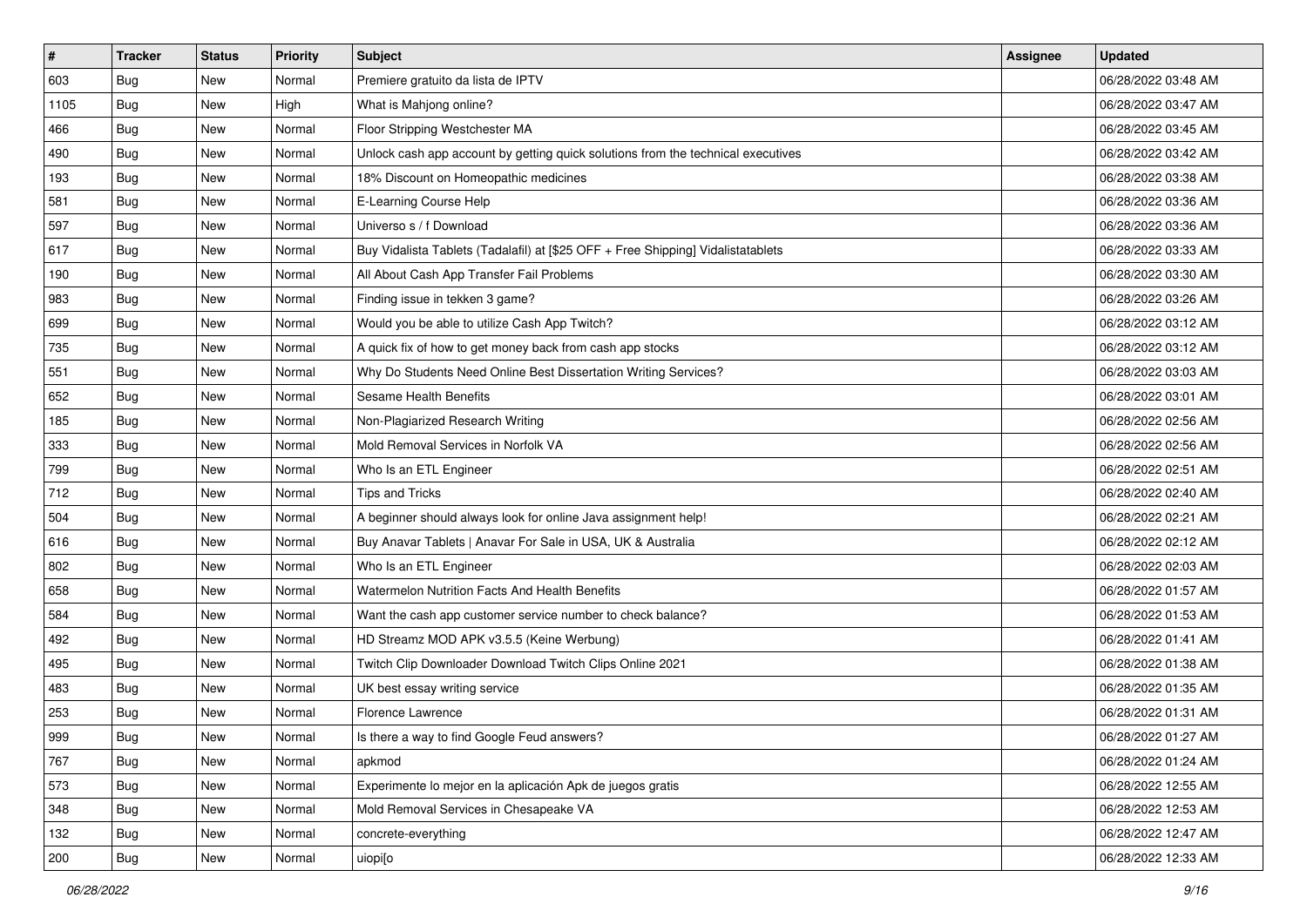| $\vert$ # | <b>Tracker</b> | <b>Status</b> | <b>Priority</b> | Subject                                                                          | <b>Assignee</b> | <b>Updated</b>      |
|-----------|----------------|---------------|-----------------|----------------------------------------------------------------------------------|-----------------|---------------------|
| 603       | <b>Bug</b>     | New           | Normal          | Premiere gratuito da lista de IPTV                                               |                 | 06/28/2022 03:48 AM |
| 1105      | <b>Bug</b>     | New           | High            | What is Mahjong online?                                                          |                 | 06/28/2022 03:47 AM |
| 466       | <b>Bug</b>     | New           | Normal          | Floor Stripping Westchester MA                                                   |                 | 06/28/2022 03:45 AM |
| 490       | <b>Bug</b>     | New           | Normal          | Unlock cash app account by getting quick solutions from the technical executives |                 | 06/28/2022 03:42 AM |
| 193       | <b>Bug</b>     | New           | Normal          | 18% Discount on Homeopathic medicines                                            |                 | 06/28/2022 03:38 AM |
| 581       | <b>Bug</b>     | New           | Normal          | E-Learning Course Help                                                           |                 | 06/28/2022 03:36 AM |
| 597       | <b>Bug</b>     | New           | Normal          | Universo s / f Download                                                          |                 | 06/28/2022 03:36 AM |
| 617       | <b>Bug</b>     | New           | Normal          | Buy Vidalista Tablets (Tadalafil) at [\$25 OFF + Free Shipping] Vidalistatablets |                 | 06/28/2022 03:33 AM |
| 190       | <b>Bug</b>     | New           | Normal          | All About Cash App Transfer Fail Problems                                        |                 | 06/28/2022 03:30 AM |
| 983       | Bug            | New           | Normal          | Finding issue in tekken 3 game?                                                  |                 | 06/28/2022 03:26 AM |
| 699       | <b>Bug</b>     | New           | Normal          | Would you be able to utilize Cash App Twitch?                                    |                 | 06/28/2022 03:12 AM |
| 735       | Bug            | New           | Normal          | A quick fix of how to get money back from cash app stocks                        |                 | 06/28/2022 03:12 AM |
| 551       | Bug            | New           | Normal          | Why Do Students Need Online Best Dissertation Writing Services?                  |                 | 06/28/2022 03:03 AM |
| 652       | <b>Bug</b>     | New           | Normal          | Sesame Health Benefits                                                           |                 | 06/28/2022 03:01 AM |
| 185       | <b>Bug</b>     | New           | Normal          | Non-Plagiarized Research Writing                                                 |                 | 06/28/2022 02:56 AM |
| 333       | Bug            | New           | Normal          | Mold Removal Services in Norfolk VA                                              |                 | 06/28/2022 02:56 AM |
| 799       | <b>Bug</b>     | New           | Normal          | Who Is an ETL Engineer                                                           |                 | 06/28/2022 02:51 AM |
| 712       | <b>Bug</b>     | New           | Normal          | <b>Tips and Tricks</b>                                                           |                 | 06/28/2022 02:40 AM |
| 504       | <b>Bug</b>     | New           | Normal          | A beginner should always look for online Java assignment help!                   |                 | 06/28/2022 02:21 AM |
| 616       | <b>Bug</b>     | New           | Normal          | Buy Anavar Tablets   Anavar For Sale in USA, UK & Australia                      |                 | 06/28/2022 02:12 AM |
| 802       | <b>Bug</b>     | New           | Normal          | Who Is an ETL Engineer                                                           |                 | 06/28/2022 02:03 AM |
| 658       | <b>Bug</b>     | New           | Normal          | <b>Watermelon Nutrition Facts And Health Benefits</b>                            |                 | 06/28/2022 01:57 AM |
| 584       | Bug            | New           | Normal          | Want the cash app customer service number to check balance?                      |                 | 06/28/2022 01:53 AM |
| 492       | <b>Bug</b>     | New           | Normal          | HD Streamz MOD APK v3.5.5 (Keine Werbung)                                        |                 | 06/28/2022 01:41 AM |
| 495       | Bug            | New           | Normal          | Twitch Clip Downloader Download Twitch Clips Online 2021                         |                 | 06/28/2022 01:38 AM |
| 483       | Bug            | New           | Normal          | UK best essay writing service                                                    |                 | 06/28/2022 01:35 AM |
| 253       | <b>Bug</b>     | New           | Normal          | <b>Florence Lawrence</b>                                                         |                 | 06/28/2022 01:31 AM |
| 999       | <b>Bug</b>     | New           | Normal          | Is there a way to find Google Feud answers?                                      |                 | 06/28/2022 01:27 AM |
| 767       | <b>Bug</b>     | New           | Normal          | apkmod                                                                           |                 | 06/28/2022 01:24 AM |
| 573       | <b>Bug</b>     | New           | Normal          | Experimente lo mejor en la aplicación Apk de juegos gratis                       |                 | 06/28/2022 12:55 AM |
| 348       | Bug            | New           | Normal          | Mold Removal Services in Chesapeake VA                                           |                 | 06/28/2022 12:53 AM |
| 132       | <b>Bug</b>     | New           | Normal          | concrete-everything                                                              |                 | 06/28/2022 12:47 AM |
| 200       | <b>Bug</b>     | New           | Normal          | uiopi[o                                                                          |                 | 06/28/2022 12:33 AM |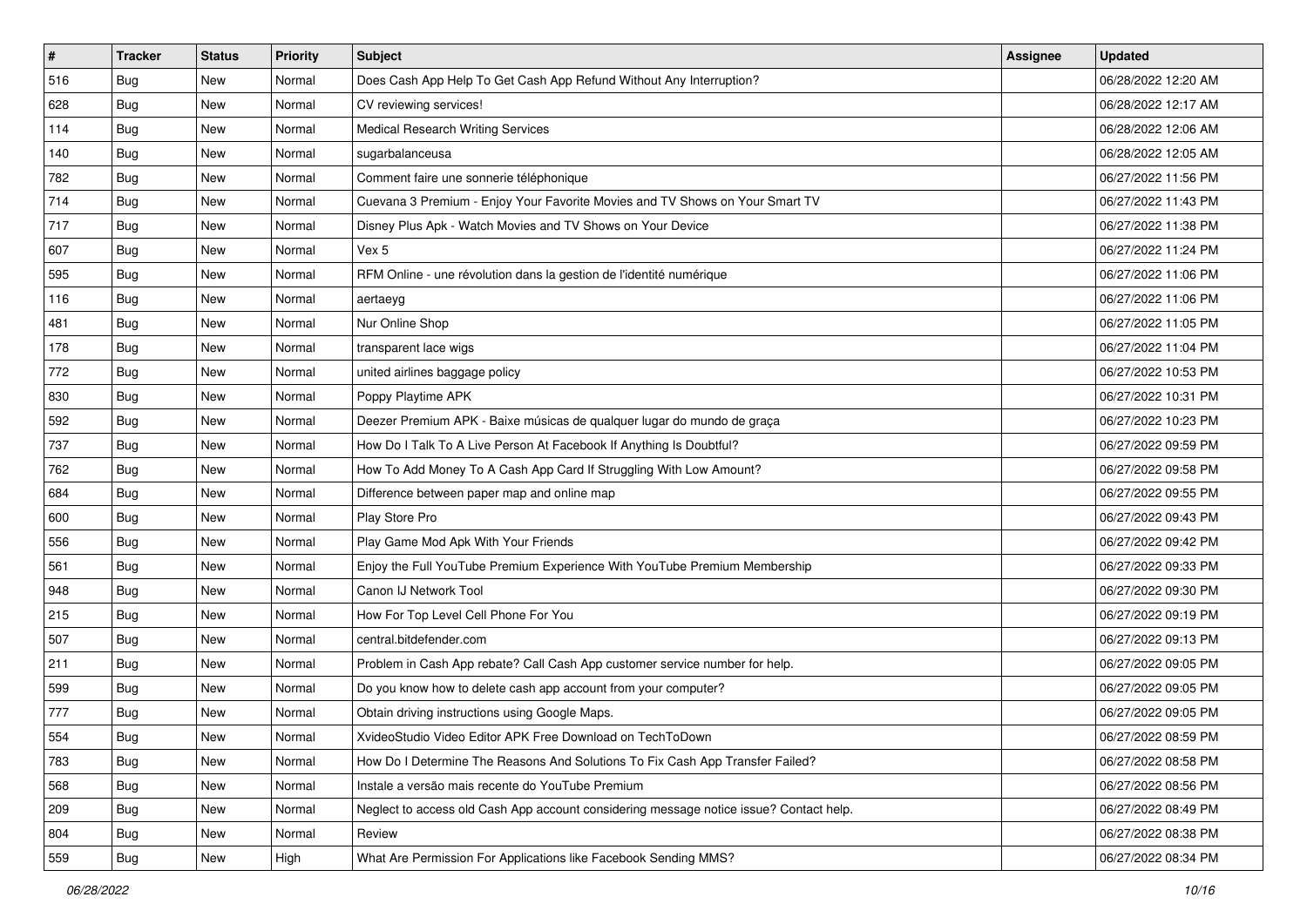| #   | <b>Tracker</b> | <b>Status</b> | Priority | Subject                                                                                | <b>Assignee</b> | <b>Updated</b>      |
|-----|----------------|---------------|----------|----------------------------------------------------------------------------------------|-----------------|---------------------|
| 516 | <b>Bug</b>     | New           | Normal   | Does Cash App Help To Get Cash App Refund Without Any Interruption?                    |                 | 06/28/2022 12:20 AM |
| 628 | Bug            | New           | Normal   | CV reviewing services!                                                                 |                 | 06/28/2022 12:17 AM |
| 114 | <b>Bug</b>     | New           | Normal   | <b>Medical Research Writing Services</b>                                               |                 | 06/28/2022 12:06 AM |
| 140 | <b>Bug</b>     | New           | Normal   | sugarbalanceusa                                                                        |                 | 06/28/2022 12:05 AM |
| 782 | Bug            | New           | Normal   | Comment faire une sonnerie téléphonique                                                |                 | 06/27/2022 11:56 PM |
| 714 | <b>Bug</b>     | New           | Normal   | Cuevana 3 Premium - Enjoy Your Favorite Movies and TV Shows on Your Smart TV           |                 | 06/27/2022 11:43 PM |
| 717 | <b>Bug</b>     | New           | Normal   | Disney Plus Apk - Watch Movies and TV Shows on Your Device                             |                 | 06/27/2022 11:38 PM |
| 607 | <b>Bug</b>     | New           | Normal   | Vex 5                                                                                  |                 | 06/27/2022 11:24 PM |
| 595 | Bug            | New           | Normal   | RFM Online - une révolution dans la gestion de l'identité numérique                    |                 | 06/27/2022 11:06 PM |
| 116 | Bug            | New           | Normal   | aertaeyg                                                                               |                 | 06/27/2022 11:06 PM |
| 481 | <b>Bug</b>     | New           | Normal   | Nur Online Shop                                                                        |                 | 06/27/2022 11:05 PM |
| 178 | Bug            | New           | Normal   | transparent lace wigs                                                                  |                 | 06/27/2022 11:04 PM |
| 772 | <b>Bug</b>     | New           | Normal   | united airlines baggage policy                                                         |                 | 06/27/2022 10:53 PM |
| 830 | <b>Bug</b>     | New           | Normal   | Poppy Playtime APK                                                                     |                 | 06/27/2022 10:31 PM |
| 592 | <b>Bug</b>     | New           | Normal   | Deezer Premium APK - Baixe músicas de qualquer lugar do mundo de graça                 |                 | 06/27/2022 10:23 PM |
| 737 | Bug            | New           | Normal   | How Do I Talk To A Live Person At Facebook If Anything Is Doubtful?                    |                 | 06/27/2022 09:59 PM |
| 762 | <b>Bug</b>     | New           | Normal   | How To Add Money To A Cash App Card If Struggling With Low Amount?                     |                 | 06/27/2022 09:58 PM |
| 684 | Bug            | New           | Normal   | Difference between paper map and online map                                            |                 | 06/27/2022 09:55 PM |
| 600 | <b>Bug</b>     | New           | Normal   | Play Store Pro                                                                         |                 | 06/27/2022 09:43 PM |
| 556 | <b>Bug</b>     | New           | Normal   | Play Game Mod Apk With Your Friends                                                    |                 | 06/27/2022 09:42 PM |
| 561 | <b>Bug</b>     | New           | Normal   | Enjoy the Full YouTube Premium Experience With YouTube Premium Membership              |                 | 06/27/2022 09:33 PM |
| 948 | <b>Bug</b>     | New           | Normal   | Canon IJ Network Tool                                                                  |                 | 06/27/2022 09:30 PM |
| 215 | Bug            | New           | Normal   | How For Top Level Cell Phone For You                                                   |                 | 06/27/2022 09:19 PM |
| 507 | <b>Bug</b>     | New           | Normal   | central.bitdefender.com                                                                |                 | 06/27/2022 09:13 PM |
| 211 | Bug            | New           | Normal   | Problem in Cash App rebate? Call Cash App customer service number for help.            |                 | 06/27/2022 09:05 PM |
| 599 | Bug            | New           | Normal   | Do you know how to delete cash app account from your computer?                         |                 | 06/27/2022 09:05 PM |
| 777 | Bug            | New           | Normal   | Obtain driving instructions using Google Maps.                                         |                 | 06/27/2022 09:05 PM |
| 554 | <b>Bug</b>     | New           | Normal   | XvideoStudio Video Editor APK Free Download on TechToDown                              |                 | 06/27/2022 08:59 PM |
| 783 | <b>Bug</b>     | New           | Normal   | How Do I Determine The Reasons And Solutions To Fix Cash App Transfer Failed?          |                 | 06/27/2022 08:58 PM |
| 568 | <b>Bug</b>     | New           | Normal   | Instale a versão mais recente do YouTube Premium                                       |                 | 06/27/2022 08:56 PM |
| 209 | <b>Bug</b>     | New           | Normal   | Neglect to access old Cash App account considering message notice issue? Contact help. |                 | 06/27/2022 08:49 PM |
| 804 | <b>Bug</b>     | New           | Normal   | Review                                                                                 |                 | 06/27/2022 08:38 PM |
| 559 | <b>Bug</b>     | New           | High     | What Are Permission For Applications like Facebook Sending MMS?                        |                 | 06/27/2022 08:34 PM |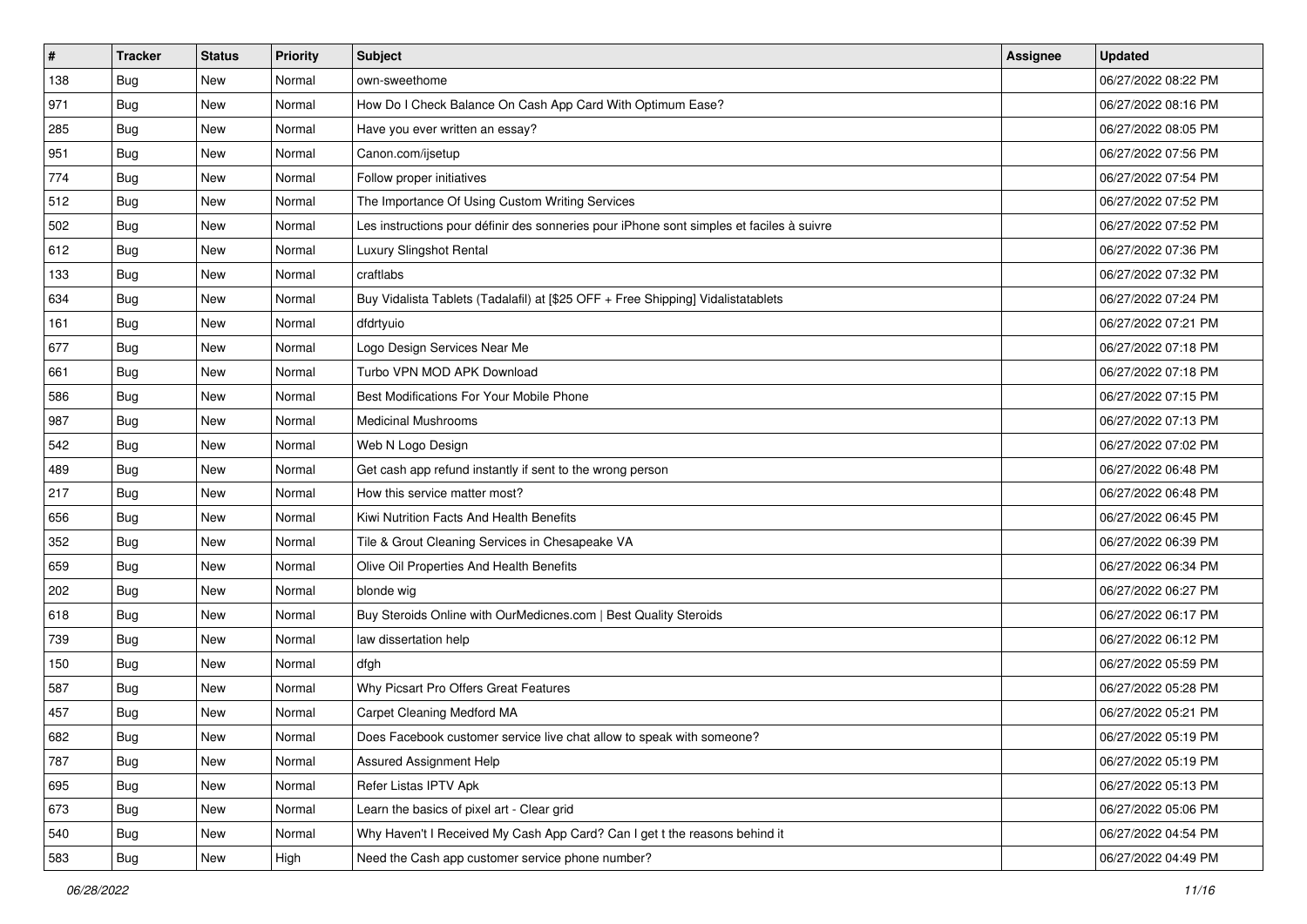| $\vert$ # | <b>Tracker</b> | <b>Status</b> | Priority | Subject                                                                                  | <b>Assignee</b> | <b>Updated</b>      |
|-----------|----------------|---------------|----------|------------------------------------------------------------------------------------------|-----------------|---------------------|
| 138       | <b>Bug</b>     | New           | Normal   | own-sweethome                                                                            |                 | 06/27/2022 08:22 PM |
| 971       | <b>Bug</b>     | New           | Normal   | How Do I Check Balance On Cash App Card With Optimum Ease?                               |                 | 06/27/2022 08:16 PM |
| 285       | <b>Bug</b>     | New           | Normal   | Have you ever written an essay?                                                          |                 | 06/27/2022 08:05 PM |
| 951       | Bug            | New           | Normal   | Canon.com/ijsetup                                                                        |                 | 06/27/2022 07:56 PM |
| 774       | <b>Bug</b>     | New           | Normal   | Follow proper initiatives                                                                |                 | 06/27/2022 07:54 PM |
| 512       | <b>Bug</b>     | New           | Normal   | The Importance Of Using Custom Writing Services                                          |                 | 06/27/2022 07:52 PM |
| 502       | Bug            | New           | Normal   | Les instructions pour définir des sonneries pour iPhone sont simples et faciles à suivre |                 | 06/27/2022 07:52 PM |
| 612       | <b>Bug</b>     | New           | Normal   | Luxury Slingshot Rental                                                                  |                 | 06/27/2022 07:36 PM |
| 133       | <b>Bug</b>     | New           | Normal   | craftlabs                                                                                |                 | 06/27/2022 07:32 PM |
| 634       | Bug            | New           | Normal   | Buy Vidalista Tablets (Tadalafil) at [\$25 OFF + Free Shipping] Vidalistatablets         |                 | 06/27/2022 07:24 PM |
| 161       | <b>Bug</b>     | New           | Normal   | dfdrtyuio                                                                                |                 | 06/27/2022 07:21 PM |
| 677       | Bug            | New           | Normal   | Logo Design Services Near Me                                                             |                 | 06/27/2022 07:18 PM |
| 661       | Bug            | New           | Normal   | Turbo VPN MOD APK Download                                                               |                 | 06/27/2022 07:18 PM |
| 586       | <b>Bug</b>     | New           | Normal   | Best Modifications For Your Mobile Phone                                                 |                 | 06/27/2022 07:15 PM |
| 987       | <b>Bug</b>     | New           | Normal   | <b>Medicinal Mushrooms</b>                                                               |                 | 06/27/2022 07:13 PM |
| 542       | Bug            | New           | Normal   | Web N Logo Design                                                                        |                 | 06/27/2022 07:02 PM |
| 489       | <b>Bug</b>     | New           | Normal   | Get cash app refund instantly if sent to the wrong person                                |                 | 06/27/2022 06:48 PM |
| 217       | <b>Bug</b>     | New           | Normal   | How this service matter most?                                                            |                 | 06/27/2022 06:48 PM |
| 656       | <b>Bug</b>     | New           | Normal   | Kiwi Nutrition Facts And Health Benefits                                                 |                 | 06/27/2022 06:45 PM |
| 352       | <b>Bug</b>     | New           | Normal   | Tile & Grout Cleaning Services in Chesapeake VA                                          |                 | 06/27/2022 06:39 PM |
| 659       | <b>Bug</b>     | New           | Normal   | Olive Oil Properties And Health Benefits                                                 |                 | 06/27/2022 06:34 PM |
| 202       | <b>Bug</b>     | New           | Normal   | blonde wig                                                                               |                 | 06/27/2022 06:27 PM |
| 618       | Bug            | New           | Normal   | Buy Steroids Online with OurMedicnes.com   Best Quality Steroids                         |                 | 06/27/2022 06:17 PM |
| 739       | <b>Bug</b>     | New           | Normal   | law dissertation help                                                                    |                 | 06/27/2022 06:12 PM |
| 150       | Bug            | New           | Normal   | dfgh                                                                                     |                 | 06/27/2022 05:59 PM |
| 587       | Bug            | New           | Normal   | Why Picsart Pro Offers Great Features                                                    |                 | 06/27/2022 05:28 PM |
| 457       | <b>Bug</b>     | New           | Normal   | Carpet Cleaning Medford MA                                                               |                 | 06/27/2022 05:21 PM |
| 682       | I Bug          | New           | Normal   | Does Facebook customer service live chat allow to speak with someone?                    |                 | 06/27/2022 05:19 PM |
| 787       | <b>Bug</b>     | New           | Normal   | Assured Assignment Help                                                                  |                 | 06/27/2022 05:19 PM |
| 695       | <b>Bug</b>     | New           | Normal   | Refer Listas IPTV Apk                                                                    |                 | 06/27/2022 05:13 PM |
| 673       | <b>Bug</b>     | New           | Normal   | Learn the basics of pixel art - Clear grid                                               |                 | 06/27/2022 05:06 PM |
| 540       | <b>Bug</b>     | New           | Normal   | Why Haven't I Received My Cash App Card? Can I get t the reasons behind it               |                 | 06/27/2022 04:54 PM |
| 583       | Bug            | New           | High     | Need the Cash app customer service phone number?                                         |                 | 06/27/2022 04:49 PM |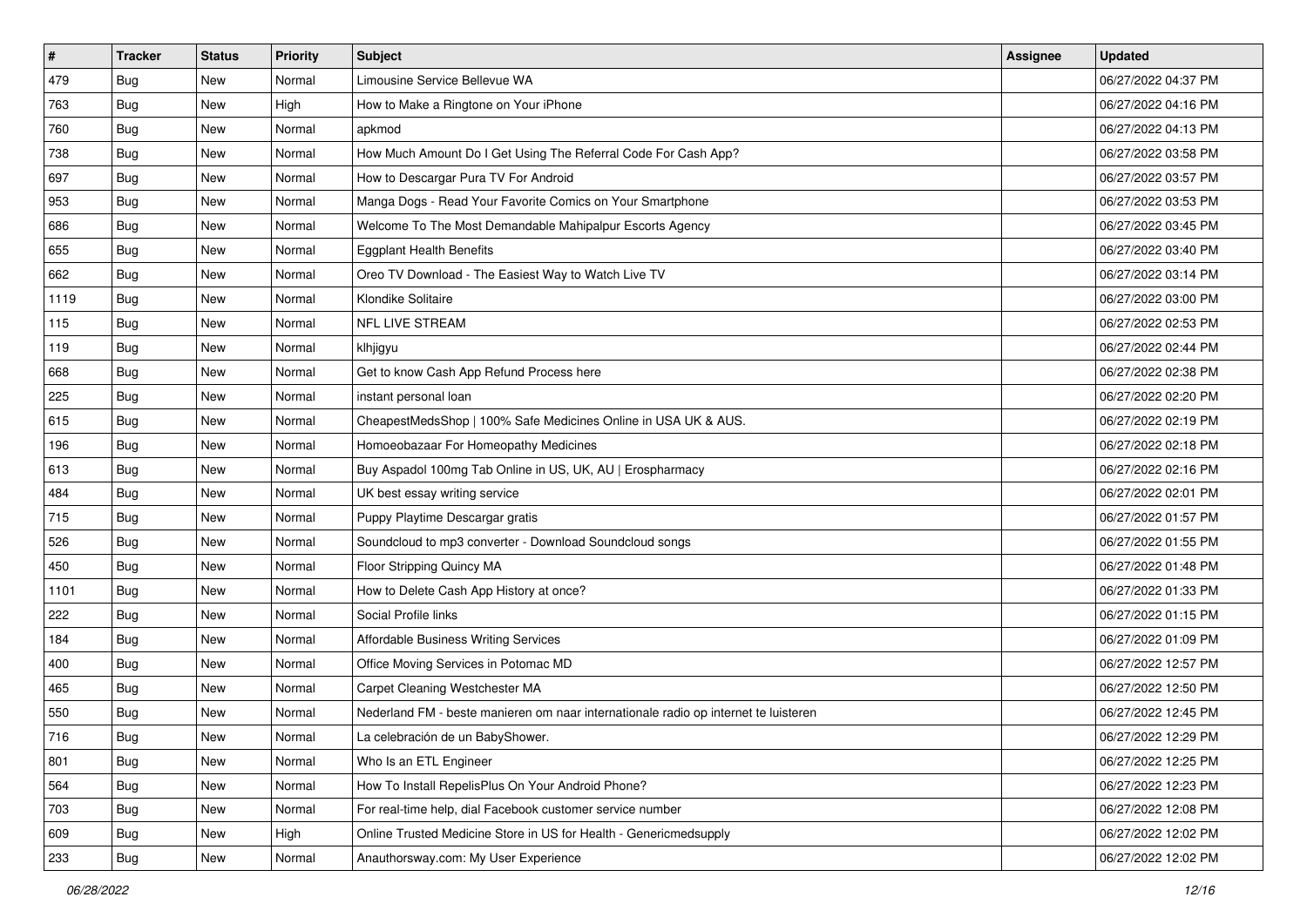| #    | <b>Tracker</b> | <b>Status</b> | <b>Priority</b> | Subject                                                                             | <b>Assignee</b> | <b>Updated</b>      |
|------|----------------|---------------|-----------------|-------------------------------------------------------------------------------------|-----------------|---------------------|
| 479  | <b>Bug</b>     | New           | Normal          | Limousine Service Bellevue WA                                                       |                 | 06/27/2022 04:37 PM |
| 763  | <b>Bug</b>     | New           | High            | How to Make a Ringtone on Your iPhone                                               |                 | 06/27/2022 04:16 PM |
| 760  | <b>Bug</b>     | New           | Normal          | apkmod                                                                              |                 | 06/27/2022 04:13 PM |
| 738  | <b>Bug</b>     | New           | Normal          | How Much Amount Do I Get Using The Referral Code For Cash App?                      |                 | 06/27/2022 03:58 PM |
| 697  | Bug            | New           | Normal          | How to Descargar Pura TV For Android                                                |                 | 06/27/2022 03:57 PM |
| 953  | <b>Bug</b>     | New           | Normal          | Manga Dogs - Read Your Favorite Comics on Your Smartphone                           |                 | 06/27/2022 03:53 PM |
| 686  | <b>Bug</b>     | New           | Normal          | Welcome To The Most Demandable Mahipalpur Escorts Agency                            |                 | 06/27/2022 03:45 PM |
| 655  | Bug            | New           | Normal          | <b>Eggplant Health Benefits</b>                                                     |                 | 06/27/2022 03:40 PM |
| 662  | <b>Bug</b>     | New           | Normal          | Oreo TV Download - The Easiest Way to Watch Live TV                                 |                 | 06/27/2022 03:14 PM |
| 1119 | Bug            | New           | Normal          | Klondike Solitaire                                                                  |                 | 06/27/2022 03:00 PM |
| 115  | <b>Bug</b>     | New           | Normal          | <b>NFL LIVE STREAM</b>                                                              |                 | 06/27/2022 02:53 PM |
| 119  | Bug            | New           | Normal          | klhjigyu                                                                            |                 | 06/27/2022 02:44 PM |
| 668  | <b>Bug</b>     | New           | Normal          | Get to know Cash App Refund Process here                                            |                 | 06/27/2022 02:38 PM |
| 225  | Bug            | New           | Normal          | instant personal loan                                                               |                 | 06/27/2022 02:20 PM |
| 615  | <b>Bug</b>     | New           | Normal          | CheapestMedsShop   100% Safe Medicines Online in USA UK & AUS.                      |                 | 06/27/2022 02:19 PM |
| 196  | <b>Bug</b>     | New           | Normal          | Homoeobazaar For Homeopathy Medicines                                               |                 | 06/27/2022 02:18 PM |
| 613  | <b>Bug</b>     | New           | Normal          | Buy Aspadol 100mg Tab Online in US, UK, AU   Erospharmacy                           |                 | 06/27/2022 02:16 PM |
| 484  | <b>Bug</b>     | New           | Normal          | UK best essay writing service                                                       |                 | 06/27/2022 02:01 PM |
| 715  | Bug            | New           | Normal          | Puppy Playtime Descargar gratis                                                     |                 | 06/27/2022 01:57 PM |
| 526  | <b>Bug</b>     | New           | Normal          | Soundcloud to mp3 converter - Download Soundcloud songs                             |                 | 06/27/2022 01:55 PM |
| 450  | <b>Bug</b>     | New           | Normal          | Floor Stripping Quincy MA                                                           |                 | 06/27/2022 01:48 PM |
| 1101 | <b>Bug</b>     | New           | Normal          | How to Delete Cash App History at once?                                             |                 | 06/27/2022 01:33 PM |
| 222  | Bug            | New           | Normal          | Social Profile links                                                                |                 | 06/27/2022 01:15 PM |
| 184  | <b>Bug</b>     | New           | Normal          | <b>Affordable Business Writing Services</b>                                         |                 | 06/27/2022 01:09 PM |
| 400  | Bug            | New           | Normal          | Office Moving Services in Potomac MD                                                |                 | 06/27/2022 12:57 PM |
| 465  | <b>Bug</b>     | New           | Normal          | Carpet Cleaning Westchester MA                                                      |                 | 06/27/2022 12:50 PM |
| 550  | <b>Bug</b>     | New           | Normal          | Nederland FM - beste manieren om naar internationale radio op internet te luisteren |                 | 06/27/2022 12:45 PM |
| 716  | Bug            | New           | Normal          | La celebración de un BabyShower.                                                    |                 | 06/27/2022 12:29 PM |
| 801  | <b>Bug</b>     | New           | Normal          | Who Is an ETL Engineer                                                              |                 | 06/27/2022 12:25 PM |
| 564  | <b>Bug</b>     | New           | Normal          | How To Install RepelisPlus On Your Android Phone?                                   |                 | 06/27/2022 12:23 PM |
| 703  | <b>Bug</b>     | New           | Normal          | For real-time help, dial Facebook customer service number                           |                 | 06/27/2022 12:08 PM |
| 609  | <b>Bug</b>     | New           | High            | Online Trusted Medicine Store in US for Health - Genericmedsupply                   |                 | 06/27/2022 12:02 PM |
| 233  | <b>Bug</b>     | New           | Normal          | Anauthorsway.com: My User Experience                                                |                 | 06/27/2022 12:02 PM |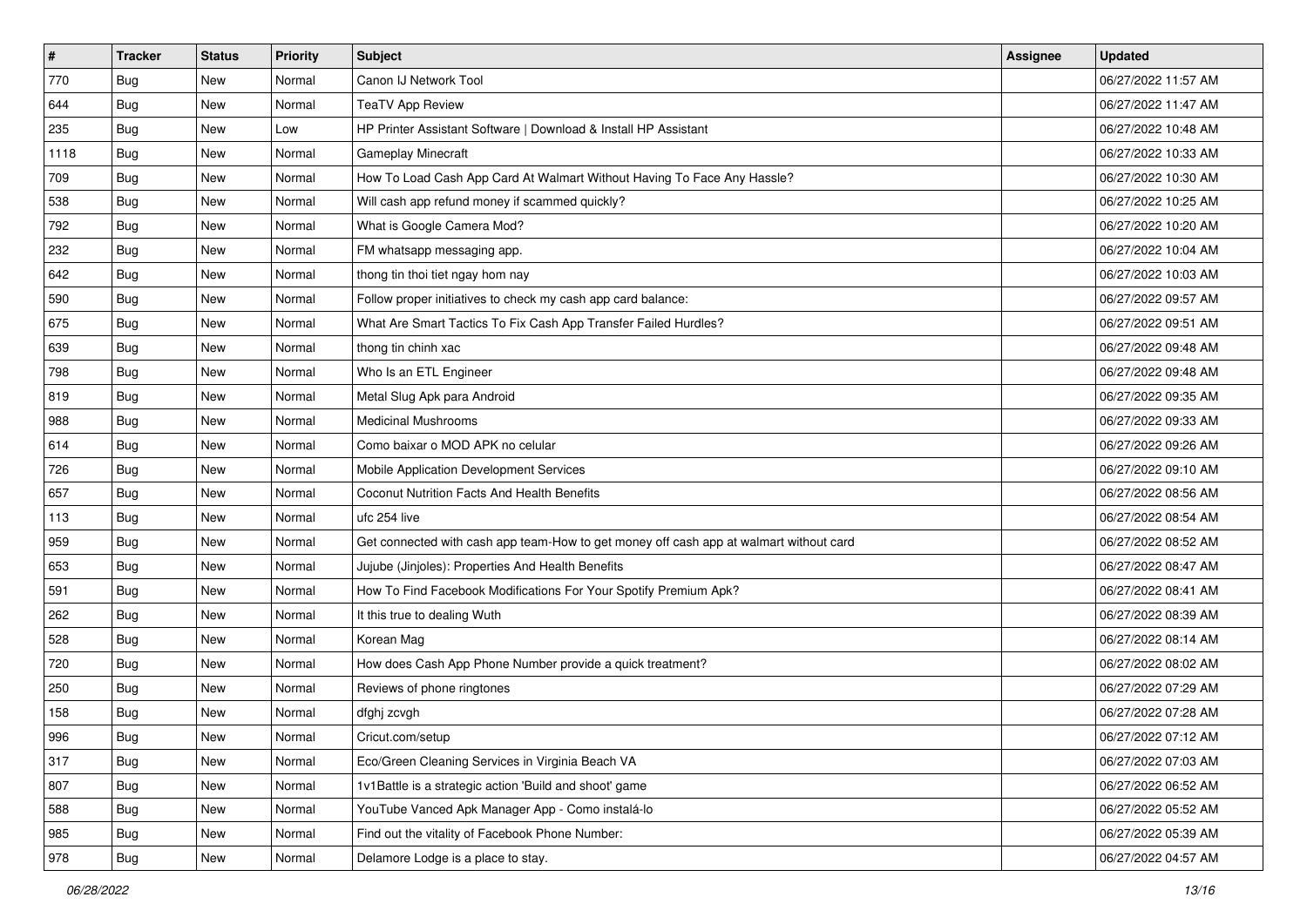| $\vert$ # | <b>Tracker</b> | <b>Status</b> | <b>Priority</b> | Subject                                                                                | <b>Assignee</b> | <b>Updated</b>      |
|-----------|----------------|---------------|-----------------|----------------------------------------------------------------------------------------|-----------------|---------------------|
| 770       | <b>Bug</b>     | New           | Normal          | Canon IJ Network Tool                                                                  |                 | 06/27/2022 11:57 AM |
| 644       | <b>Bug</b>     | New           | Normal          | <b>TeaTV App Review</b>                                                                |                 | 06/27/2022 11:47 AM |
| 235       | <b>Bug</b>     | New           | Low             | HP Printer Assistant Software   Download & Install HP Assistant                        |                 | 06/27/2022 10:48 AM |
| 1118      | <b>Bug</b>     | New           | Normal          | Gameplay Minecraft                                                                     |                 | 06/27/2022 10:33 AM |
| 709       | <b>Bug</b>     | New           | Normal          | How To Load Cash App Card At Walmart Without Having To Face Any Hassle?                |                 | 06/27/2022 10:30 AM |
| 538       | <b>Bug</b>     | New           | Normal          | Will cash app refund money if scammed quickly?                                         |                 | 06/27/2022 10:25 AM |
| 792       | <b>Bug</b>     | New           | Normal          | What is Google Camera Mod?                                                             |                 | 06/27/2022 10:20 AM |
| 232       | <b>Bug</b>     | New           | Normal          | FM whatsapp messaging app.                                                             |                 | 06/27/2022 10:04 AM |
| 642       | <b>Bug</b>     | New           | Normal          | thong tin thoi tiet ngay hom nay                                                       |                 | 06/27/2022 10:03 AM |
| 590       | Bug            | New           | Normal          | Follow proper initiatives to check my cash app card balance:                           |                 | 06/27/2022 09:57 AM |
| 675       | <b>Bug</b>     | New           | Normal          | What Are Smart Tactics To Fix Cash App Transfer Failed Hurdles?                        |                 | 06/27/2022 09:51 AM |
| 639       | Bug            | New           | Normal          | thong tin chinh xac                                                                    |                 | 06/27/2022 09:48 AM |
| 798       | Bug            | New           | Normal          | Who Is an ETL Engineer                                                                 |                 | 06/27/2022 09:48 AM |
| 819       | <b>Bug</b>     | New           | Normal          | Metal Slug Apk para Android                                                            |                 | 06/27/2022 09:35 AM |
| 988       | <b>Bug</b>     | New           | Normal          | <b>Medicinal Mushrooms</b>                                                             |                 | 06/27/2022 09:33 AM |
| 614       | Bug            | New           | Normal          | Como baixar o MOD APK no celular                                                       |                 | 06/27/2022 09:26 AM |
| 726       | <b>Bug</b>     | New           | Normal          | Mobile Application Development Services                                                |                 | 06/27/2022 09:10 AM |
| 657       | <b>Bug</b>     | New           | Normal          | Coconut Nutrition Facts And Health Benefits                                            |                 | 06/27/2022 08:56 AM |
| 113       | <b>Bug</b>     | New           | Normal          | ufc 254 live                                                                           |                 | 06/27/2022 08:54 AM |
| 959       | <b>Bug</b>     | New           | Normal          | Get connected with cash app team-How to get money off cash app at walmart without card |                 | 06/27/2022 08:52 AM |
| 653       | <b>Bug</b>     | New           | Normal          | Jujube (Jinjoles): Properties And Health Benefits                                      |                 | 06/27/2022 08:47 AM |
| 591       | <b>Bug</b>     | New           | Normal          | How To Find Facebook Modifications For Your Spotify Premium Apk?                       |                 | 06/27/2022 08:41 AM |
| 262       | Bug            | New           | Normal          | It this true to dealing Wuth                                                           |                 | 06/27/2022 08:39 AM |
| 528       | <b>Bug</b>     | New           | Normal          | Korean Mag                                                                             |                 | 06/27/2022 08:14 AM |
| 720       | Bug            | New           | Normal          | How does Cash App Phone Number provide a quick treatment?                              |                 | 06/27/2022 08:02 AM |
| 250       | <b>Bug</b>     | New           | Normal          | Reviews of phone ringtones                                                             |                 | 06/27/2022 07:29 AM |
| 158       | <b>Bug</b>     | New           | Normal          | dfghj zcvgh                                                                            |                 | 06/27/2022 07:28 AM |
| 996       | I Bug          | New           | Normal          | Cricut.com/setup                                                                       |                 | 06/27/2022 07:12 AM |
| 317       | Bug            | New           | Normal          | Eco/Green Cleaning Services in Virginia Beach VA                                       |                 | 06/27/2022 07:03 AM |
| 807       | <b>Bug</b>     | New           | Normal          | 1v1Battle is a strategic action 'Build and shoot' game                                 |                 | 06/27/2022 06:52 AM |
| 588       | <b>Bug</b>     | New           | Normal          | YouTube Vanced Apk Manager App - Como instalá-lo                                       |                 | 06/27/2022 05:52 AM |
| 985       | <b>Bug</b>     | New           | Normal          | Find out the vitality of Facebook Phone Number:                                        |                 | 06/27/2022 05:39 AM |
| 978       | Bug            | New           | Normal          | Delamore Lodge is a place to stay.                                                     |                 | 06/27/2022 04:57 AM |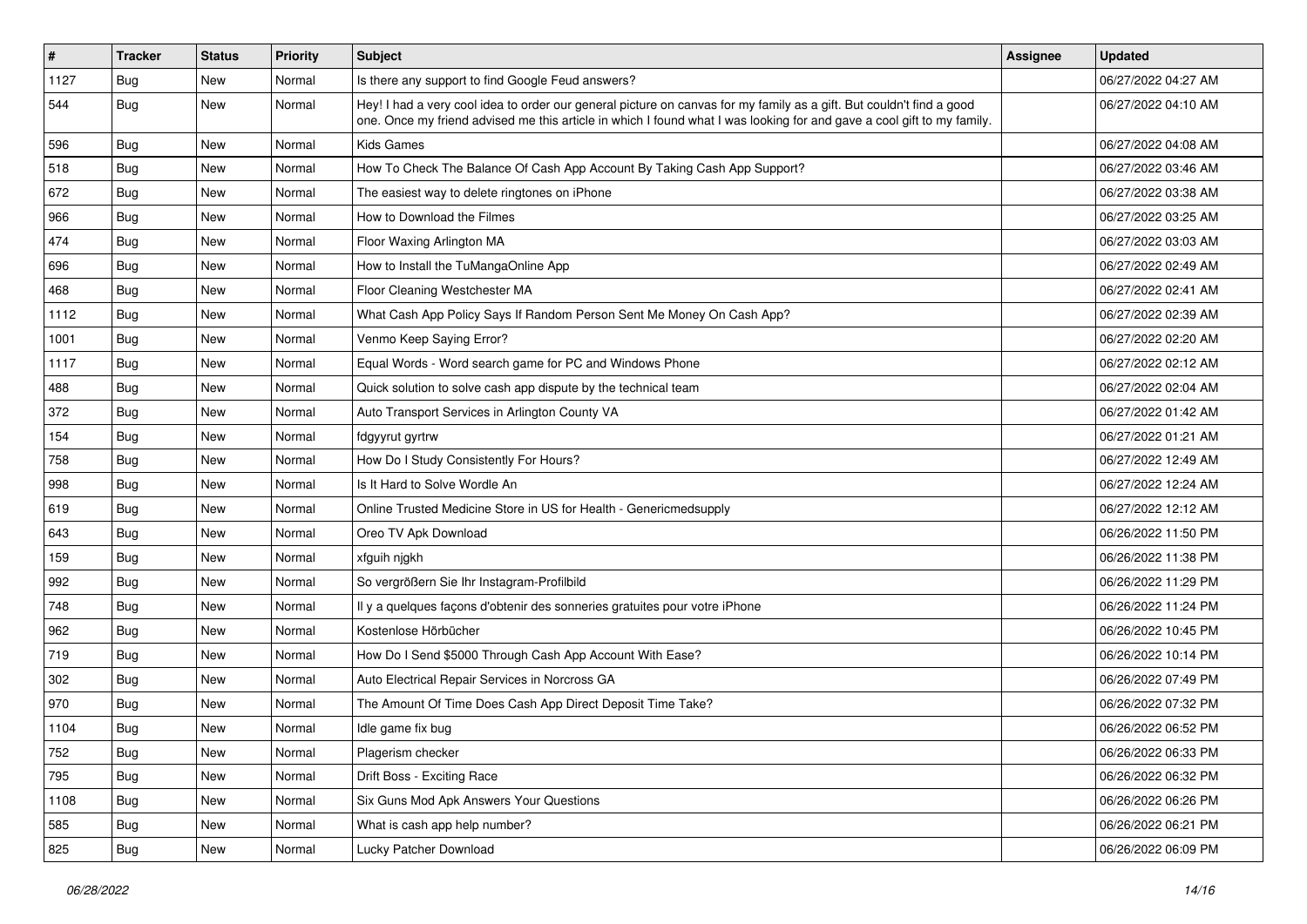| $\vert$ # | <b>Tracker</b> | <b>Status</b> | <b>Priority</b> | <b>Subject</b>                                                                                                                                                                                                                                 | Assignee | <b>Updated</b>      |
|-----------|----------------|---------------|-----------------|------------------------------------------------------------------------------------------------------------------------------------------------------------------------------------------------------------------------------------------------|----------|---------------------|
| 1127      | <b>Bug</b>     | New           | Normal          | Is there any support to find Google Feud answers?                                                                                                                                                                                              |          | 06/27/2022 04:27 AM |
| 544       | <b>Bug</b>     | <b>New</b>    | Normal          | Hey! I had a very cool idea to order our general picture on canvas for my family as a gift. But couldn't find a good<br>one. Once my friend advised me this article in which I found what I was looking for and gave a cool gift to my family. |          | 06/27/2022 04:10 AM |
| 596       | Bug            | New           | Normal          | <b>Kids Games</b>                                                                                                                                                                                                                              |          | 06/27/2022 04:08 AM |
| 518       | Bug            | <b>New</b>    | Normal          | How To Check The Balance Of Cash App Account By Taking Cash App Support?                                                                                                                                                                       |          | 06/27/2022 03:46 AM |
| 672       | <b>Bug</b>     | New           | Normal          | The easiest way to delete ringtones on iPhone                                                                                                                                                                                                  |          | 06/27/2022 03:38 AM |
| 966       | Bug            | New           | Normal          | How to Download the Filmes                                                                                                                                                                                                                     |          | 06/27/2022 03:25 AM |
| 474       | Bug            | <b>New</b>    | Normal          | Floor Waxing Arlington MA                                                                                                                                                                                                                      |          | 06/27/2022 03:03 AM |
| 696       | Bug            | New           | Normal          | How to Install the TuMangaOnline App                                                                                                                                                                                                           |          | 06/27/2022 02:49 AM |
| 468       | Bug            | <b>New</b>    | Normal          | Floor Cleaning Westchester MA                                                                                                                                                                                                                  |          | 06/27/2022 02:41 AM |
| 1112      | Bug            | New           | Normal          | What Cash App Policy Says If Random Person Sent Me Money On Cash App?                                                                                                                                                                          |          | 06/27/2022 02:39 AM |
| 1001      | <b>Bug</b>     | <b>New</b>    | Normal          | Venmo Keep Saying Error?                                                                                                                                                                                                                       |          | 06/27/2022 02:20 AM |
| 1117      | Bug            | <b>New</b>    | Normal          | Equal Words - Word search game for PC and Windows Phone                                                                                                                                                                                        |          | 06/27/2022 02:12 AM |
| 488       | Bug            | New           | Normal          | Quick solution to solve cash app dispute by the technical team                                                                                                                                                                                 |          | 06/27/2022 02:04 AM |
| 372       | Bug            | <b>New</b>    | Normal          | Auto Transport Services in Arlington County VA                                                                                                                                                                                                 |          | 06/27/2022 01:42 AM |
| 154       | Bug            | New           | Normal          | fdgyyrut gyrtrw                                                                                                                                                                                                                                |          | 06/27/2022 01:21 AM |
| 758       | Bug            | <b>New</b>    | Normal          | How Do I Study Consistently For Hours?                                                                                                                                                                                                         |          | 06/27/2022 12:49 AM |
| 998       | Bug            | <b>New</b>    | Normal          | Is It Hard to Solve Wordle An                                                                                                                                                                                                                  |          | 06/27/2022 12:24 AM |
| 619       | <b>Bug</b>     | New           | Normal          | Online Trusted Medicine Store in US for Health - Genericmedsupply                                                                                                                                                                              |          | 06/27/2022 12:12 AM |
| 643       | Bug            | New           | Normal          | Oreo TV Apk Download                                                                                                                                                                                                                           |          | 06/26/2022 11:50 PM |
| 159       | Bug            | <b>New</b>    | Normal          | xfguih njgkh                                                                                                                                                                                                                                   |          | 06/26/2022 11:38 PM |
| 992       | <b>Bug</b>     | New           | Normal          | So vergrößern Sie Ihr Instagram-Profilbild                                                                                                                                                                                                     |          | 06/26/2022 11:29 PM |
| 748       | Bug            | <b>New</b>    | Normal          | Il y a quelques façons d'obtenir des sonneries gratuites pour votre iPhone                                                                                                                                                                     |          | 06/26/2022 11:24 PM |
| 962       | <b>Bug</b>     | New           | Normal          | Kostenlose Hörbücher                                                                                                                                                                                                                           |          | 06/26/2022 10:45 PM |
| 719       | Bug            | <b>New</b>    | Normal          | How Do I Send \$5000 Through Cash App Account With Ease?                                                                                                                                                                                       |          | 06/26/2022 10:14 PM |
| 302       | Bug            | <b>New</b>    | Normal          | Auto Electrical Repair Services in Norcross GA                                                                                                                                                                                                 |          | 06/26/2022 07:49 PM |
| 970       | Bug            | New           | Normal          | The Amount Of Time Does Cash App Direct Deposit Time Take?                                                                                                                                                                                     |          | 06/26/2022 07:32 PM |
| 1104      | <b>Bug</b>     | <b>New</b>    | Normal          | Idle game fix bug                                                                                                                                                                                                                              |          | 06/26/2022 06:52 PM |
| 752       | <b>Bug</b>     | New           | Normal          | Plagerism checker                                                                                                                                                                                                                              |          | 06/26/2022 06:33 PM |
| 795       | <b>Bug</b>     | New           | Normal          | Drift Boss - Exciting Race                                                                                                                                                                                                                     |          | 06/26/2022 06:32 PM |
| 1108      | <b>Bug</b>     | New           | Normal          | Six Guns Mod Apk Answers Your Questions                                                                                                                                                                                                        |          | 06/26/2022 06:26 PM |
| 585       | Bug            | New           | Normal          | What is cash app help number?                                                                                                                                                                                                                  |          | 06/26/2022 06:21 PM |
| 825       | <b>Bug</b>     | New           | Normal          | Lucky Patcher Download                                                                                                                                                                                                                         |          | 06/26/2022 06:09 PM |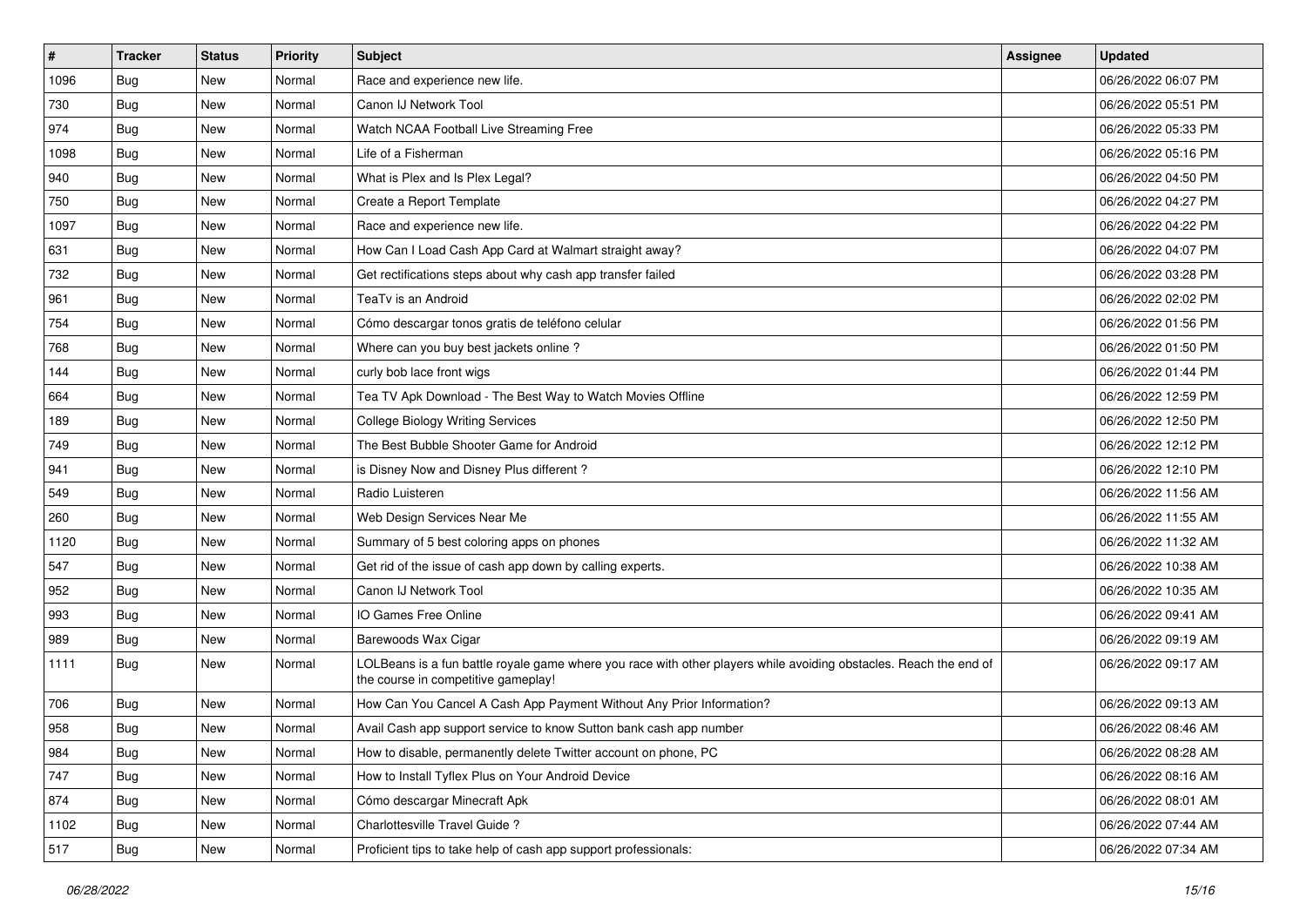| $\sharp$ | <b>Tracker</b> | <b>Status</b> | <b>Priority</b> | Subject                                                                                                                                                  | Assignee | <b>Updated</b>      |
|----------|----------------|---------------|-----------------|----------------------------------------------------------------------------------------------------------------------------------------------------------|----------|---------------------|
| 1096     | <b>Bug</b>     | New           | Normal          | Race and experience new life.                                                                                                                            |          | 06/26/2022 06:07 PM |
| 730      | Bug            | New           | Normal          | Canon IJ Network Tool                                                                                                                                    |          | 06/26/2022 05:51 PM |
| 974      | Bug            | New           | Normal          | Watch NCAA Football Live Streaming Free                                                                                                                  |          | 06/26/2022 05:33 PM |
| 1098     | Bug            | <b>New</b>    | Normal          | Life of a Fisherman                                                                                                                                      |          | 06/26/2022 05:16 PM |
| 940      | Bug            | New           | Normal          | What is Plex and Is Plex Legal?                                                                                                                          |          | 06/26/2022 04:50 PM |
| 750      | Bug            | <b>New</b>    | Normal          | Create a Report Template                                                                                                                                 |          | 06/26/2022 04:27 PM |
| 1097     | Bug            | New           | Normal          | Race and experience new life.                                                                                                                            |          | 06/26/2022 04:22 PM |
| 631      | Bug            | New           | Normal          | How Can I Load Cash App Card at Walmart straight away?                                                                                                   |          | 06/26/2022 04:07 PM |
| 732      | Bug            | New           | Normal          | Get rectifications steps about why cash app transfer failed                                                                                              |          | 06/26/2022 03:28 PM |
| 961      | Bug            | <b>New</b>    | Normal          | TeaTv is an Android                                                                                                                                      |          | 06/26/2022 02:02 PM |
| 754      | <b>Bug</b>     | New           | Normal          | Cómo descargar tonos gratis de teléfono celular                                                                                                          |          | 06/26/2022 01:56 PM |
| 768      | Bug            | New           | Normal          | Where can you buy best jackets online?                                                                                                                   |          | 06/26/2022 01:50 PM |
| 144      | Bug            | New           | Normal          | curly bob lace front wigs                                                                                                                                |          | 06/26/2022 01:44 PM |
| 664      | Bug            | New           | Normal          | Tea TV Apk Download - The Best Way to Watch Movies Offline                                                                                               |          | 06/26/2022 12:59 PM |
| 189      | Bug            | <b>New</b>    | Normal          | <b>College Biology Writing Services</b>                                                                                                                  |          | 06/26/2022 12:50 PM |
| 749      | Bug            | New           | Normal          | The Best Bubble Shooter Game for Android                                                                                                                 |          | 06/26/2022 12:12 PM |
| 941      | Bug            | <b>New</b>    | Normal          | is Disney Now and Disney Plus different?                                                                                                                 |          | 06/26/2022 12:10 PM |
| 549      | Bug            | <b>New</b>    | Normal          | Radio Luisteren                                                                                                                                          |          | 06/26/2022 11:56 AM |
| 260      | Bug            | New           | Normal          | Web Design Services Near Me                                                                                                                              |          | 06/26/2022 11:55 AM |
| 1120     | Bug            | <b>New</b>    | Normal          | Summary of 5 best coloring apps on phones                                                                                                                |          | 06/26/2022 11:32 AM |
| 547      | <b>Bug</b>     | New           | Normal          | Get rid of the issue of cash app down by calling experts.                                                                                                |          | 06/26/2022 10:38 AM |
| 952      | Bug            | New           | Normal          | Canon IJ Network Tool                                                                                                                                    |          | 06/26/2022 10:35 AM |
| 993      | Bug            | New           | Normal          | IO Games Free Online                                                                                                                                     |          | 06/26/2022 09:41 AM |
| 989      | <b>Bug</b>     | New           | Normal          | Barewoods Wax Cigar                                                                                                                                      |          | 06/26/2022 09:19 AM |
| 1111     | Bug            | New           | Normal          | LOLBeans is a fun battle royale game where you race with other players while avoiding obstacles. Reach the end of<br>the course in competitive gameplay! |          | 06/26/2022 09:17 AM |
| 706      | Bug            | New           | Normal          | How Can You Cancel A Cash App Payment Without Any Prior Information?                                                                                     |          | 06/26/2022 09:13 AM |
| 958      | <b>Bug</b>     | <b>New</b>    | Normal          | Avail Cash app support service to know Sutton bank cash app number                                                                                       |          | 06/26/2022 08:46 AM |
| 984      | Bug            | New           | Normal          | How to disable, permanently delete Twitter account on phone, PC                                                                                          |          | 06/26/2022 08:28 AM |
| 747      | <b>Bug</b>     | New           | Normal          | How to Install Tyflex Plus on Your Android Device                                                                                                        |          | 06/26/2022 08:16 AM |
| 874      | Bug            | New           | Normal          | Cómo descargar Minecraft Apk                                                                                                                             |          | 06/26/2022 08:01 AM |
| 1102     | Bug            | New           | Normal          | Charlottesville Travel Guide ?                                                                                                                           |          | 06/26/2022 07:44 AM |
| 517      | <b>Bug</b>     | New           | Normal          | Proficient tips to take help of cash app support professionals:                                                                                          |          | 06/26/2022 07:34 AM |